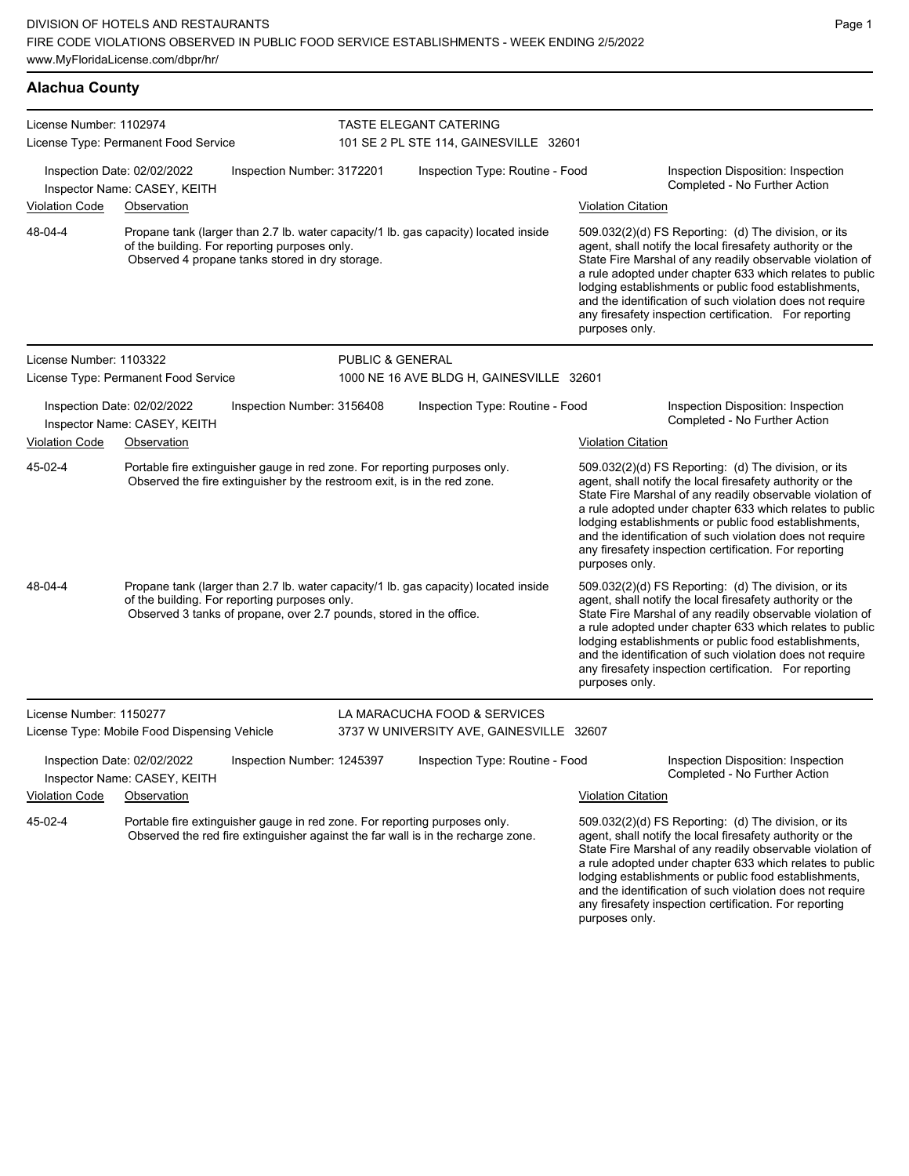| <b>Alachua County</b>                                       |                                                                                                                                                                                                             |                            |                                                                  |                           |                                                                                                                                                                                                                                                                                                                                                                                                                            |  |  |
|-------------------------------------------------------------|-------------------------------------------------------------------------------------------------------------------------------------------------------------------------------------------------------------|----------------------------|------------------------------------------------------------------|---------------------------|----------------------------------------------------------------------------------------------------------------------------------------------------------------------------------------------------------------------------------------------------------------------------------------------------------------------------------------------------------------------------------------------------------------------------|--|--|
| License Number: 1102974                                     | License Type: Permanent Food Service                                                                                                                                                                        |                            | TASTE ELEGANT CATERING<br>101 SE 2 PL STE 114, GAINESVILLE 32601 |                           |                                                                                                                                                                                                                                                                                                                                                                                                                            |  |  |
| Inspection Date: 02/02/2022<br>Inspector Name: CASEY, KEITH |                                                                                                                                                                                                             | Inspection Number: 3172201 | Inspection Type: Routine - Food                                  |                           | Inspection Disposition: Inspection<br>Completed - No Further Action                                                                                                                                                                                                                                                                                                                                                        |  |  |
| <b>Violation Code</b>                                       | Observation                                                                                                                                                                                                 |                            |                                                                  | <b>Violation Citation</b> |                                                                                                                                                                                                                                                                                                                                                                                                                            |  |  |
| 48-04-4                                                     | Propane tank (larger than 2.7 lb. water capacity/1 lb. gas capacity) located inside<br>of the building. For reporting purposes only.<br>Observed 4 propane tanks stored in dry storage.                     |                            |                                                                  | purposes only.            | 509.032(2)(d) FS Reporting: (d) The division, or its<br>agent, shall notify the local firesafety authority or the<br>State Fire Marshal of any readily observable violation of<br>a rule adopted under chapter 633 which relates to public<br>lodging establishments or public food establishments,<br>and the identification of such violation does not require<br>any firesafety inspection certification. For reporting |  |  |
| License Number: 1103322                                     |                                                                                                                                                                                                             | PUBLIC & GENERAL           |                                                                  |                           |                                                                                                                                                                                                                                                                                                                                                                                                                            |  |  |
|                                                             | License Type: Permanent Food Service                                                                                                                                                                        |                            | 1000 NE 16 AVE BLDG H, GAINESVILLE 32601                         |                           |                                                                                                                                                                                                                                                                                                                                                                                                                            |  |  |
|                                                             | Inspection Date: 02/02/2022<br>Inspector Name: CASEY, KEITH                                                                                                                                                 | Inspection Number: 3156408 | Inspection Type: Routine - Food                                  |                           | Inspection Disposition: Inspection<br>Completed - No Further Action                                                                                                                                                                                                                                                                                                                                                        |  |  |
| <b>Violation Code</b>                                       | Observation                                                                                                                                                                                                 |                            |                                                                  | <b>Violation Citation</b> |                                                                                                                                                                                                                                                                                                                                                                                                                            |  |  |
| 45-02-4                                                     | Portable fire extinguisher gauge in red zone. For reporting purposes only.<br>Observed the fire extinguisher by the restroom exit, is in the red zone.                                                      |                            |                                                                  | purposes only.            | 509.032(2)(d) FS Reporting: (d) The division, or its<br>agent, shall notify the local firesafety authority or the<br>State Fire Marshal of any readily observable violation of<br>a rule adopted under chapter 633 which relates to public<br>lodging establishments or public food establishments,<br>and the identification of such violation does not require<br>any firesafety inspection certification. For reporting |  |  |
| 48-04-4                                                     | Propane tank (larger than 2.7 lb. water capacity/1 lb. gas capacity) located inside<br>of the building. For reporting purposes only.<br>Observed 3 tanks of propane, over 2.7 pounds, stored in the office. |                            |                                                                  | purposes only.            | 509.032(2)(d) FS Reporting: (d) The division, or its<br>agent, shall notify the local firesafety authority or the<br>State Fire Marshal of any readily observable violation of<br>a rule adopted under chapter 633 which relates to public<br>lodging establishments or public food establishments,<br>and the identification of such violation does not require<br>any firesafety inspection certification. For reporting |  |  |
| License Number: 1150277                                     |                                                                                                                                                                                                             |                            | LA MARACUCHA FOOD & SERVICES                                     |                           |                                                                                                                                                                                                                                                                                                                                                                                                                            |  |  |
|                                                             | License Type: Mobile Food Dispensing Vehicle                                                                                                                                                                |                            | 3737 W UNIVERSITY AVE, GAINESVILLE 32607                         |                           |                                                                                                                                                                                                                                                                                                                                                                                                                            |  |  |
|                                                             | Inspection Date: 02/02/2022<br>Inspector Name: CASEY, KEITH                                                                                                                                                 | Inspection Number: 1245397 | Inspection Type: Routine - Food                                  |                           | Inspection Disposition: Inspection<br>Completed - No Further Action                                                                                                                                                                                                                                                                                                                                                        |  |  |
| Violation Code                                              | Observation                                                                                                                                                                                                 |                            |                                                                  | <b>Violation Citation</b> |                                                                                                                                                                                                                                                                                                                                                                                                                            |  |  |
| 45-02-4                                                     | Portable fire extinguisher gauge in red zone. For reporting purposes only.<br>Observed the red fire extinguisher against the far wall is in the recharge zone.                                              |                            |                                                                  |                           | 509.032(2)(d) FS Reporting: (d) The division, or its<br>agent, shall notify the local firesafety authority or the<br>State Fire Marshal of any readily observable violation of                                                                                                                                                                                                                                             |  |  |

a rule adopted under chapter 633 which relates to public lodging establishments or public food establishments, and the identification of such violation does not require any firesafety inspection certification. For reporting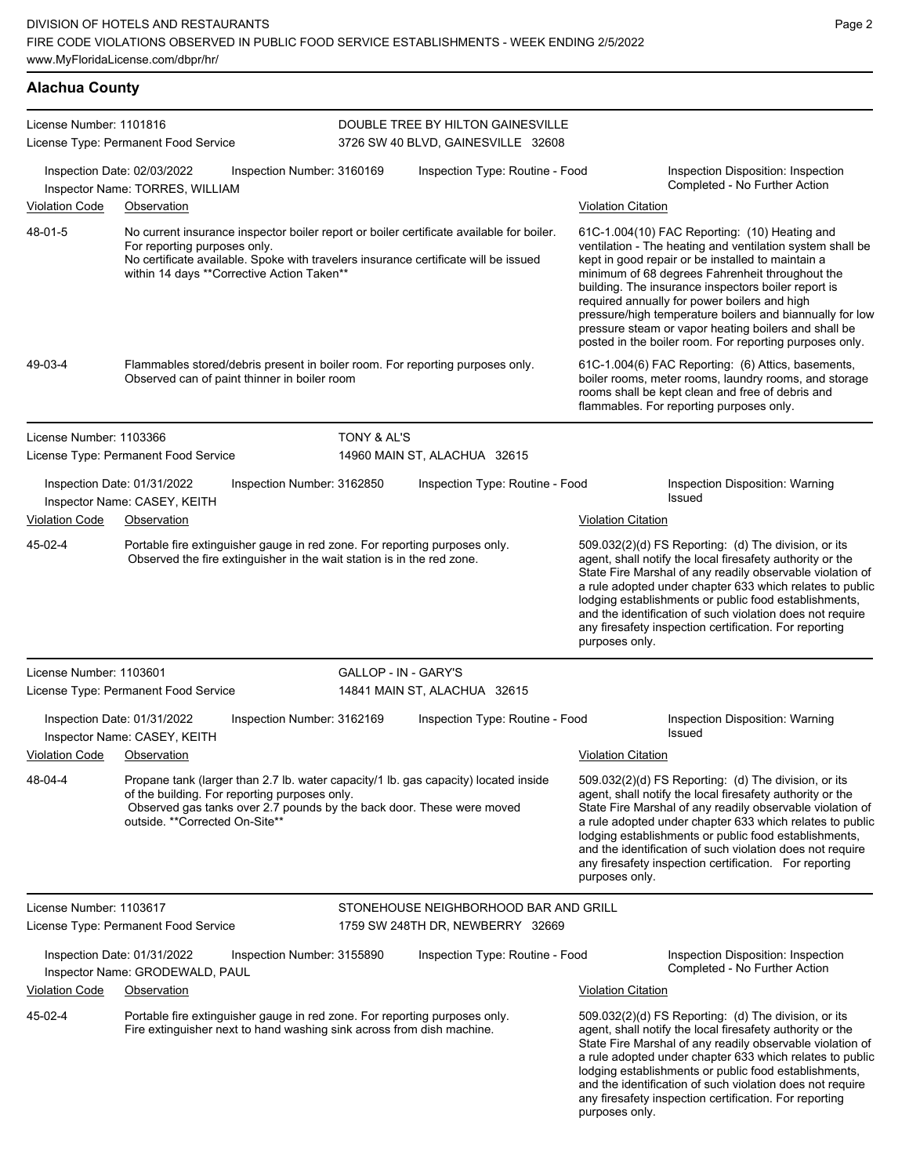**Alachua County**

| License Number: 1101816 |                                                                            |                                                                                                                                                      |                        | DOUBLE TREE BY HILTON GAINESVILLE                                                                                                                                               |                           |                                                                                                                                                                                                                                                                                                                                                                                                                                                                                                          |
|-------------------------|----------------------------------------------------------------------------|------------------------------------------------------------------------------------------------------------------------------------------------------|------------------------|---------------------------------------------------------------------------------------------------------------------------------------------------------------------------------|---------------------------|----------------------------------------------------------------------------------------------------------------------------------------------------------------------------------------------------------------------------------------------------------------------------------------------------------------------------------------------------------------------------------------------------------------------------------------------------------------------------------------------------------|
|                         | License Type: Permanent Food Service                                       |                                                                                                                                                      |                        | 3726 SW 40 BLVD, GAINESVILLE 32608                                                                                                                                              |                           |                                                                                                                                                                                                                                                                                                                                                                                                                                                                                                          |
|                         | Inspection Date: 02/03/2022<br>Inspector Name: TORRES, WILLIAM             | Inspection Number: 3160169                                                                                                                           |                        | Inspection Type: Routine - Food                                                                                                                                                 |                           | Inspection Disposition: Inspection<br>Completed - No Further Action                                                                                                                                                                                                                                                                                                                                                                                                                                      |
| <b>Violation Code</b>   | Observation                                                                |                                                                                                                                                      |                        |                                                                                                                                                                                 | <b>Violation Citation</b> |                                                                                                                                                                                                                                                                                                                                                                                                                                                                                                          |
| 48-01-5                 | For reporting purposes only.                                               | within 14 days ** Corrective Action Taken**                                                                                                          |                        | No current insurance inspector boiler report or boiler certificate available for boiler.<br>No certificate available. Spoke with travelers insurance certificate will be issued |                           | 61C-1.004(10) FAC Reporting: (10) Heating and<br>ventilation - The heating and ventilation system shall be<br>kept in good repair or be installed to maintain a<br>minimum of 68 degrees Fahrenheit throughout the<br>building. The insurance inspectors boiler report is<br>required annually for power boilers and high<br>pressure/high temperature boilers and biannually for low<br>pressure steam or vapor heating boilers and shall be<br>posted in the boiler room. For reporting purposes only. |
| 49-03-4                 |                                                                            | Observed can of paint thinner in boiler room                                                                                                         |                        | Flammables stored/debris present in boiler room. For reporting purposes only.                                                                                                   |                           | 61C-1.004(6) FAC Reporting: (6) Attics, basements,<br>boiler rooms, meter rooms, laundry rooms, and storage<br>rooms shall be kept clean and free of debris and<br>flammables. For reporting purposes only.                                                                                                                                                                                                                                                                                              |
| License Number: 1103366 | License Type: Permanent Food Service                                       |                                                                                                                                                      | <b>TONY &amp; AL'S</b> | 14960 MAIN ST, ALACHUA 32615                                                                                                                                                    |                           |                                                                                                                                                                                                                                                                                                                                                                                                                                                                                                          |
|                         | Inspection Date: 01/31/2022<br>Inspector Name: CASEY, KEITH                | Inspection Number: 3162850                                                                                                                           |                        | Inspection Type: Routine - Food                                                                                                                                                 |                           | Inspection Disposition: Warning<br><b>Issued</b>                                                                                                                                                                                                                                                                                                                                                                                                                                                         |
| Violation Code          | Observation                                                                |                                                                                                                                                      |                        |                                                                                                                                                                                 | <b>Violation Citation</b> |                                                                                                                                                                                                                                                                                                                                                                                                                                                                                                          |
| 45-02-4                 |                                                                            | Portable fire extinguisher gauge in red zone. For reporting purposes only.<br>Observed the fire extinguisher in the wait station is in the red zone. |                        |                                                                                                                                                                                 | purposes only.            | 509.032(2)(d) FS Reporting: (d) The division, or its<br>agent, shall notify the local firesafety authority or the<br>State Fire Marshal of any readily observable violation of<br>a rule adopted under chapter 633 which relates to public<br>lodging establishments or public food establishments,<br>and the identification of such violation does not require<br>any firesafety inspection certification. For reporting                                                                               |
| License Number: 1103601 | License Type: Permanent Food Service                                       |                                                                                                                                                      | GALLOP - IN - GARY'S   | 14841 MAIN ST, ALACHUA 32615                                                                                                                                                    |                           |                                                                                                                                                                                                                                                                                                                                                                                                                                                                                                          |
| <b>Violation Code</b>   | Inspection Date: 01/31/2022<br>Inspector Name: CASEY, KEITH<br>Observation | Inspection Number: 3162169                                                                                                                           |                        | Inspection Type: Routine - Food                                                                                                                                                 | <b>Violation Citation</b> | Inspection Disposition: Warning<br>Issued                                                                                                                                                                                                                                                                                                                                                                                                                                                                |
|                         |                                                                            |                                                                                                                                                      |                        |                                                                                                                                                                                 |                           |                                                                                                                                                                                                                                                                                                                                                                                                                                                                                                          |
| 48-04-4                 | outside. **Corrected On-Site**                                             | of the building. For reporting purposes only.<br>Observed gas tanks over 2.7 pounds by the back door. These were moved                               |                        | Propane tank (larger than 2.7 lb. water capacity/1 lb. gas capacity) located inside                                                                                             | purposes only.            | 509.032(2)(d) FS Reporting: (d) The division, or its<br>agent, shall notify the local firesafety authority or the<br>State Fire Marshal of any readily observable violation of<br>a rule adopted under chapter 633 which relates to public<br>lodging establishments or public food establishments,<br>and the identification of such violation does not require<br>any firesafety inspection certification. For reporting                                                                               |
| License Number: 1103617 | License Type: Permanent Food Service                                       |                                                                                                                                                      |                        | STONEHOUSE NEIGHBORHOOD BAR AND GRILL<br>1759 SW 248TH DR, NEWBERRY 32669                                                                                                       |                           |                                                                                                                                                                                                                                                                                                                                                                                                                                                                                                          |
|                         | Inspection Date: 01/31/2022<br>Inspector Name: GRODEWALD, PAUL             | Inspection Number: 3155890                                                                                                                           |                        | Inspection Type: Routine - Food                                                                                                                                                 |                           | Inspection Disposition: Inspection<br>Completed - No Further Action                                                                                                                                                                                                                                                                                                                                                                                                                                      |
| <b>Violation Code</b>   | Observation                                                                |                                                                                                                                                      |                        |                                                                                                                                                                                 | <b>Violation Citation</b> |                                                                                                                                                                                                                                                                                                                                                                                                                                                                                                          |
| 45-02-4                 |                                                                            | Portable fire extinguisher gauge in red zone. For reporting purposes only.<br>Fire extinguisher next to hand washing sink across from dish machine.  |                        |                                                                                                                                                                                 | purposes only.            | 509.032(2)(d) FS Reporting: (d) The division, or its<br>agent, shall notify the local firesafety authority or the<br>State Fire Marshal of any readily observable violation of<br>a rule adopted under chapter 633 which relates to public<br>lodging establishments or public food establishments,<br>and the identification of such violation does not require<br>any firesafety inspection certification. For reporting                                                                               |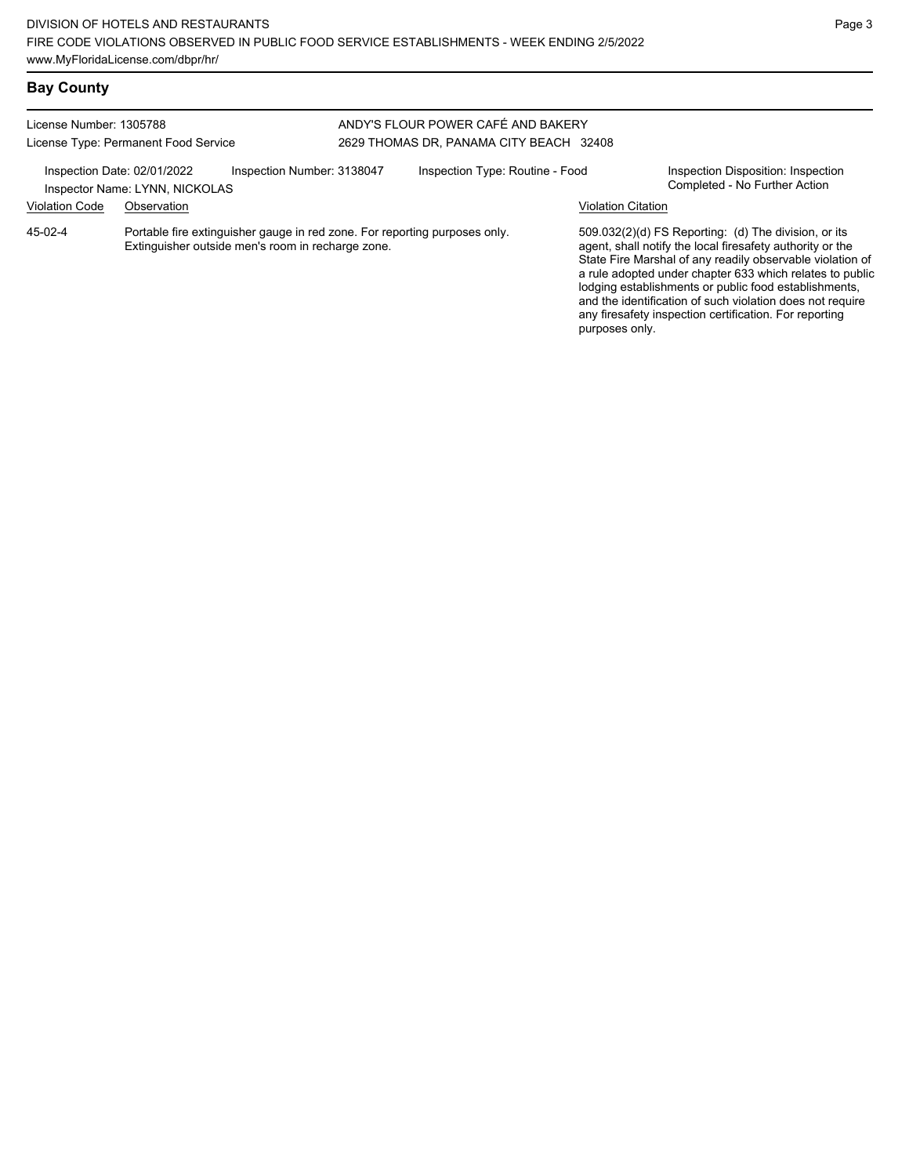purposes only.

## **Bay County**

#### License Number: 1305788 License Type: Permanent Food Service ANDY'S FLOUR POWER CAFÉ AND BAKERY 2629 THOMAS DR, PANAMA CITY BEACH 32408 Inspection Date: 02/01/2022 Inspection Number: 3138047 Inspection Type: Routine - Food Inspection Disposition: Inspection<br>Inspector Name: I YNN NICKOLAS Inspector Name: LYNN, NICKOLAS Violation Code Observation Violation Citation Portable fire extinguisher gauge in red zone. For reporting purposes only. Extinguisher outside men's room in recharge zone. 509.032(2)(d) FS Reporting: (d) The division, or its agent, shall notify the local firesafety authority or the State Fire Marshal of any readily observable violation of a rule adopted under chapter 633 which relates to public lodging establishments or public food establishments, and the identification of such violation does not require 45-02-4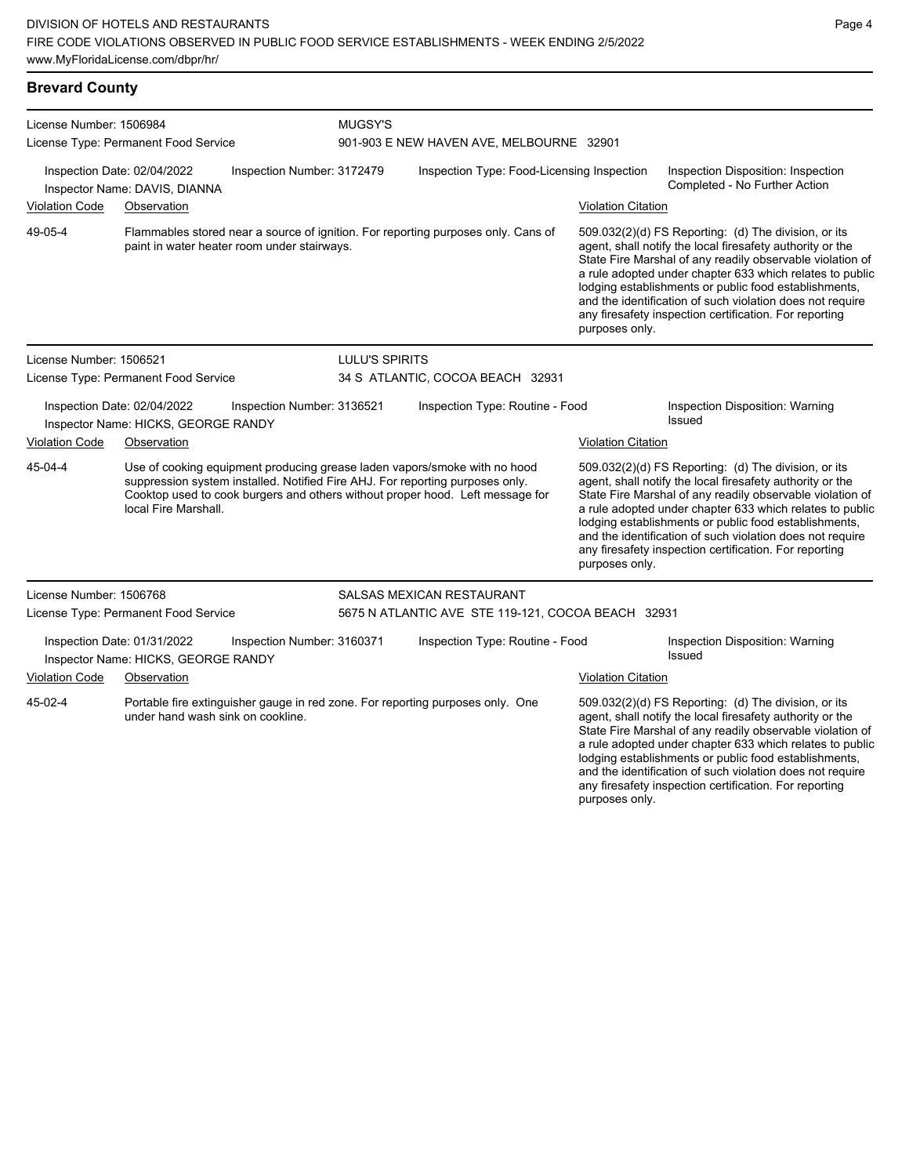| License Number: 1506984              |                                                                    |                            | MUGSY'S        |                                                                                                                                                                                                                                             |                           |                                                                                                                                                                                                                                                                                                                                                                                                                            |  |  |  |
|--------------------------------------|--------------------------------------------------------------------|----------------------------|----------------|---------------------------------------------------------------------------------------------------------------------------------------------------------------------------------------------------------------------------------------------|---------------------------|----------------------------------------------------------------------------------------------------------------------------------------------------------------------------------------------------------------------------------------------------------------------------------------------------------------------------------------------------------------------------------------------------------------------------|--|--|--|
| License Type: Permanent Food Service |                                                                    |                            |                | 901-903 E NEW HAVEN AVE, MELBOURNE 32901                                                                                                                                                                                                    |                           |                                                                                                                                                                                                                                                                                                                                                                                                                            |  |  |  |
|                                      | Inspection Date: 02/04/2022<br>Inspector Name: DAVIS, DIANNA       | Inspection Number: 3172479 |                | Inspection Type: Food-Licensing Inspection                                                                                                                                                                                                  |                           | Inspection Disposition: Inspection<br>Completed - No Further Action                                                                                                                                                                                                                                                                                                                                                        |  |  |  |
| <b>Violation Code</b>                | Observation                                                        |                            |                |                                                                                                                                                                                                                                             | <b>Violation Citation</b> |                                                                                                                                                                                                                                                                                                                                                                                                                            |  |  |  |
| 49-05-4                              | paint in water heater room under stairways.                        |                            |                | Flammables stored near a source of ignition. For reporting purposes only. Cans of                                                                                                                                                           | purposes only.            | 509.032(2)(d) FS Reporting: (d) The division, or its<br>agent, shall notify the local firesafety authority or the<br>State Fire Marshal of any readily observable violation of<br>a rule adopted under chapter 633 which relates to public<br>lodging establishments or public food establishments,<br>and the identification of such violation does not require<br>any firesafety inspection certification. For reporting |  |  |  |
| License Number: 1506521              |                                                                    |                            | LULU'S SPIRITS |                                                                                                                                                                                                                                             |                           |                                                                                                                                                                                                                                                                                                                                                                                                                            |  |  |  |
|                                      | License Type: Permanent Food Service                               |                            |                | 34 S ATLANTIC, COCOA BEACH 32931                                                                                                                                                                                                            |                           |                                                                                                                                                                                                                                                                                                                                                                                                                            |  |  |  |
|                                      | Inspection Date: 02/04/2022<br>Inspector Name: HICKS, GEORGE RANDY | Inspection Number: 3136521 |                | Inspection Type: Routine - Food                                                                                                                                                                                                             |                           | Inspection Disposition: Warning<br>Issued                                                                                                                                                                                                                                                                                                                                                                                  |  |  |  |
| <b>Violation Code</b>                | Observation                                                        |                            |                |                                                                                                                                                                                                                                             | <b>Violation Citation</b> |                                                                                                                                                                                                                                                                                                                                                                                                                            |  |  |  |
| 45-04-4                              | local Fire Marshall.                                               |                            |                | Use of cooking equipment producing grease laden vapors/smoke with no hood<br>suppression system installed. Notified Fire AHJ. For reporting purposes only.<br>Cooktop used to cook burgers and others without proper hood. Left message for | purposes only.            | 509.032(2)(d) FS Reporting: (d) The division, or its<br>agent, shall notify the local firesafety authority or the<br>State Fire Marshal of any readily observable violation of<br>a rule adopted under chapter 633 which relates to public<br>lodging establishments or public food establishments,<br>and the identification of such violation does not require<br>any firesafety inspection certification. For reporting |  |  |  |
| License Number: 1506768              |                                                                    |                            |                | SALSAS MEXICAN RESTAURANT                                                                                                                                                                                                                   |                           |                                                                                                                                                                                                                                                                                                                                                                                                                            |  |  |  |
|                                      | License Type: Permanent Food Service                               |                            |                | 5675 N ATLANTIC AVE STE 119-121, COCOA BEACH 32931                                                                                                                                                                                          |                           |                                                                                                                                                                                                                                                                                                                                                                                                                            |  |  |  |
|                                      | Inspection Date: 01/31/2022<br>Inspector Name: HICKS, GEORGE RANDY | Inspection Number: 3160371 |                | Inspection Type: Routine - Food                                                                                                                                                                                                             |                           | Inspection Disposition: Warning<br>Issued                                                                                                                                                                                                                                                                                                                                                                                  |  |  |  |
| <b>Violation Code</b>                | Observation                                                        |                            |                |                                                                                                                                                                                                                                             | <b>Violation Citation</b> |                                                                                                                                                                                                                                                                                                                                                                                                                            |  |  |  |
| 45-02-4                              | under hand wash sink on cookline.                                  |                            |                | Portable fire extinguisher gauge in red zone. For reporting purposes only. One                                                                                                                                                              |                           | 509.032(2)(d) FS Reporting: (d) The division, or its<br>agent, shall notify the local firesafety authority or the<br>State Fire Marshal of any readily observable violation of<br>a rule adopted under chapter 633 which relates to public<br>lodging establishments or public food establishments,<br>and the identification of such violation does not require<br>any firesafety inspection certification. For reporting |  |  |  |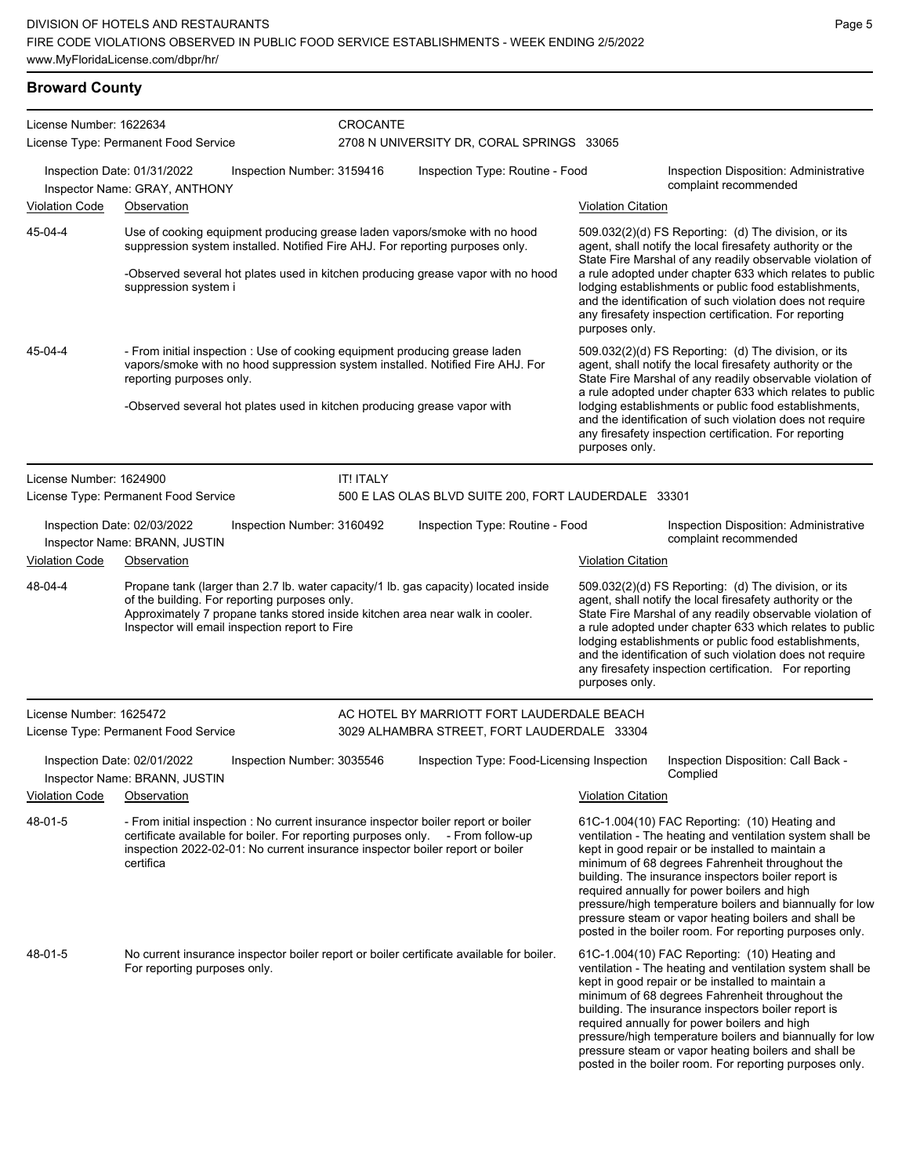## **Broward County**

| License Number: 1622634 |                                                              |                                                                                                 | CROCANTE         |                                                                                                                                                                                                                                                        |                           |                                                                                                                                                                                                                                                                                                                                                                                                                                                                                                          |
|-------------------------|--------------------------------------------------------------|-------------------------------------------------------------------------------------------------|------------------|--------------------------------------------------------------------------------------------------------------------------------------------------------------------------------------------------------------------------------------------------------|---------------------------|----------------------------------------------------------------------------------------------------------------------------------------------------------------------------------------------------------------------------------------------------------------------------------------------------------------------------------------------------------------------------------------------------------------------------------------------------------------------------------------------------------|
|                         | License Type: Permanent Food Service                         |                                                                                                 |                  | 2708 N UNIVERSITY DR, CORAL SPRINGS 33065                                                                                                                                                                                                              |                           |                                                                                                                                                                                                                                                                                                                                                                                                                                                                                                          |
|                         | Inspection Date: 01/31/2022<br>Inspector Name: GRAY, ANTHONY | Inspection Number: 3159416                                                                      |                  | Inspection Type: Routine - Food                                                                                                                                                                                                                        |                           | Inspection Disposition: Administrative<br>complaint recommended                                                                                                                                                                                                                                                                                                                                                                                                                                          |
| <b>Violation Code</b>   | Observation                                                  |                                                                                                 |                  |                                                                                                                                                                                                                                                        | <b>Violation Citation</b> |                                                                                                                                                                                                                                                                                                                                                                                                                                                                                                          |
| 45-04-4                 | suppression system i                                         |                                                                                                 |                  | Use of cooking equipment producing grease laden vapors/smoke with no hood<br>suppression system installed. Notified Fire AHJ. For reporting purposes only.<br>-Observed several hot plates used in kitchen producing grease vapor with no hood         | purposes only.            | 509.032(2)(d) FS Reporting: (d) The division, or its<br>agent, shall notify the local firesafety authority or the<br>State Fire Marshal of any readily observable violation of<br>a rule adopted under chapter 633 which relates to public<br>lodging establishments or public food establishments,<br>and the identification of such violation does not require<br>any firesafety inspection certification. For reporting                                                                               |
| 45-04-4                 | reporting purposes only.                                     | -Observed several hot plates used in kitchen producing grease vapor with                        |                  | - From initial inspection : Use of cooking equipment producing grease laden<br>vapors/smoke with no hood suppression system installed. Notified Fire AHJ. For                                                                                          | purposes only.            | 509.032(2)(d) FS Reporting: (d) The division, or its<br>agent, shall notify the local firesafety authority or the<br>State Fire Marshal of any readily observable violation of<br>a rule adopted under chapter 633 which relates to public<br>lodging establishments or public food establishments,<br>and the identification of such violation does not require<br>any firesafety inspection certification. For reporting                                                                               |
| License Number: 1624900 |                                                              |                                                                                                 | <b>IT! ITALY</b> |                                                                                                                                                                                                                                                        |                           |                                                                                                                                                                                                                                                                                                                                                                                                                                                                                                          |
|                         | License Type: Permanent Food Service                         |                                                                                                 |                  | 500 E LAS OLAS BLVD SUITE 200, FORT LAUDERDALE 33301                                                                                                                                                                                                   |                           |                                                                                                                                                                                                                                                                                                                                                                                                                                                                                                          |
|                         | Inspection Date: 02/03/2022<br>Inspector Name: BRANN, JUSTIN | Inspection Number: 3160492                                                                      |                  | Inspection Type: Routine - Food                                                                                                                                                                                                                        |                           | Inspection Disposition: Administrative<br>complaint recommended                                                                                                                                                                                                                                                                                                                                                                                                                                          |
| <b>Violation Code</b>   | Observation                                                  |                                                                                                 |                  |                                                                                                                                                                                                                                                        | <b>Violation Citation</b> |                                                                                                                                                                                                                                                                                                                                                                                                                                                                                                          |
| 48-04-4                 |                                                              | of the building. For reporting purposes only.<br>Inspector will email inspection report to Fire |                  | Propane tank (larger than 2.7 lb. water capacity/1 lb. gas capacity) located inside<br>Approximately 7 propane tanks stored inside kitchen area near walk in cooler.                                                                                   | purposes only.            | 509.032(2)(d) FS Reporting: (d) The division, or its<br>agent, shall notify the local firesafety authority or the<br>State Fire Marshal of any readily observable violation of<br>a rule adopted under chapter 633 which relates to public<br>lodging establishments or public food establishments,<br>and the identification of such violation does not require<br>any firesafety inspection certification. For reporting                                                                               |
| License Number: 1625472 |                                                              |                                                                                                 |                  | AC HOTEL BY MARRIOTT FORT LAUDERDALE BEACH                                                                                                                                                                                                             |                           |                                                                                                                                                                                                                                                                                                                                                                                                                                                                                                          |
|                         | License Type: Permanent Food Service                         |                                                                                                 |                  | 3029 ALHAMBRA STREET, FORT LAUDERDALE 33304                                                                                                                                                                                                            |                           |                                                                                                                                                                                                                                                                                                                                                                                                                                                                                                          |
|                         | Inspection Date: 02/01/2022<br>Inspector Name: BRANN, JUSTIN | Inspection Number: 3035546                                                                      |                  | Inspection Type: Food-Licensing Inspection                                                                                                                                                                                                             |                           | Inspection Disposition: Call Back -<br>Complied                                                                                                                                                                                                                                                                                                                                                                                                                                                          |
| <b>Violation Code</b>   | Observation                                                  |                                                                                                 |                  |                                                                                                                                                                                                                                                        | <b>Violation Citation</b> |                                                                                                                                                                                                                                                                                                                                                                                                                                                                                                          |
| 48-01-5                 | certifica                                                    |                                                                                                 |                  | - From initial inspection : No current insurance inspector boiler report or boiler<br>certificate available for boiler. For reporting purposes only. - From follow-up<br>inspection 2022-02-01: No current insurance inspector boiler report or boiler |                           | 61C-1.004(10) FAC Reporting: (10) Heating and<br>ventilation - The heating and ventilation system shall be<br>kept in good repair or be installed to maintain a<br>minimum of 68 degrees Fahrenheit throughout the<br>building. The insurance inspectors boiler report is<br>required annually for power boilers and high<br>pressure/high temperature boilers and biannually for low<br>pressure steam or vapor heating boilers and shall be<br>posted in the boiler room. For reporting purposes only. |
| 48-01-5                 | For reporting purposes only.                                 |                                                                                                 |                  | No current insurance inspector boiler report or boiler certificate available for boiler.                                                                                                                                                               |                           | 61C-1.004(10) FAC Reporting: (10) Heating and<br>ventilation - The heating and ventilation system shall be<br>kept in good repair or be installed to maintain a<br>minimum of 68 degrees Fahrenheit throughout the<br>building. The insurance inspectors boiler report is<br>required annually for power boilers and high<br>pressure/high temperature boilers and biannually for low<br>pressure steam or vapor heating boilers and shall be<br>posted in the boiler room. For reporting purposes only. |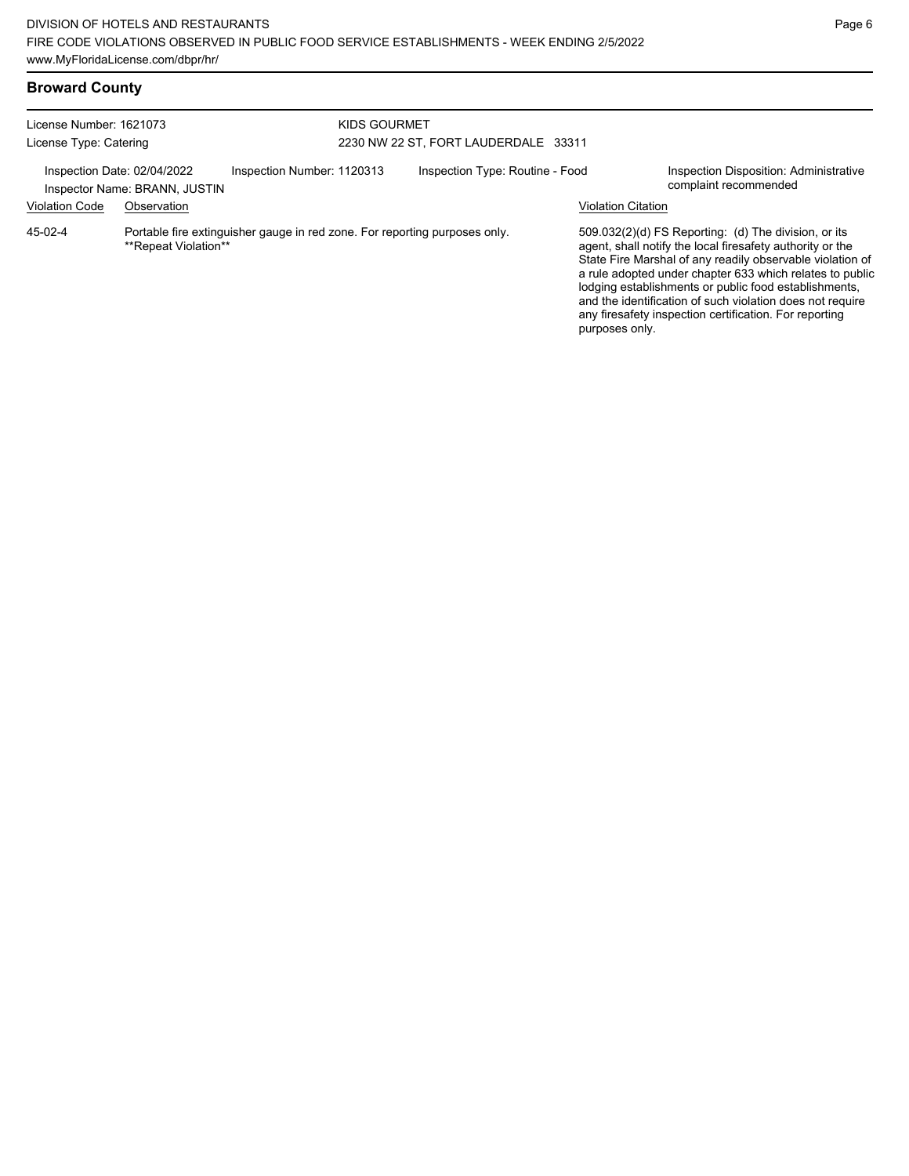| <b>Broward County</b>                             |                                                                             |                                                                            |              |                                      |                           |                                                                                                                                                                                                                                                                                                                                                                                                                            |
|---------------------------------------------------|-----------------------------------------------------------------------------|----------------------------------------------------------------------------|--------------|--------------------------------------|---------------------------|----------------------------------------------------------------------------------------------------------------------------------------------------------------------------------------------------------------------------------------------------------------------------------------------------------------------------------------------------------------------------------------------------------------------------|
| License Number: 1621073<br>License Type: Catering |                                                                             |                                                                            | KIDS GOURMET | 2230 NW 22 ST, FORT LAUDERDALE 33311 |                           |                                                                                                                                                                                                                                                                                                                                                                                                                            |
| <b>Violation Code</b>                             | Inspection Date: 02/04/2022<br>Inspector Name: BRANN, JUSTIN<br>Observation | Inspection Number: 1120313                                                 |              | Inspection Type: Routine - Food      | <b>Violation Citation</b> | Inspection Disposition: Administrative<br>complaint recommended                                                                                                                                                                                                                                                                                                                                                            |
| 45-02-4                                           | **Repeat Violation**                                                        | Portable fire extinguisher gauge in red zone. For reporting purposes only. |              |                                      | purposes only.            | 509.032(2)(d) FS Reporting: (d) The division, or its<br>agent, shall notify the local firesafety authority or the<br>State Fire Marshal of any readily observable violation of<br>a rule adopted under chapter 633 which relates to public<br>lodging establishments or public food establishments,<br>and the identification of such violation does not require<br>any firesafety inspection certification. For reporting |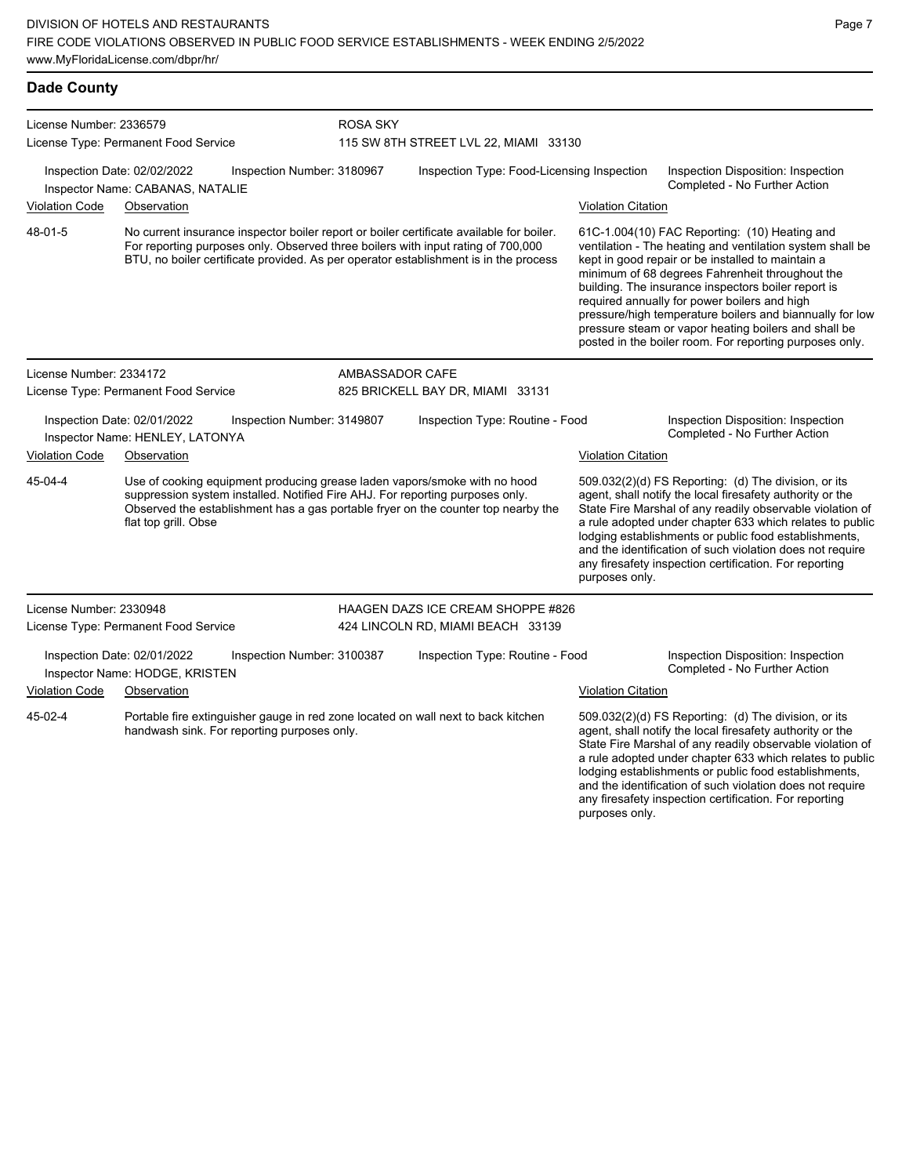| <b>Dade County</b>                                              |                                                                |                            |                                  |                                                                                                                                                                                                                                                                      |                           |                                                                                                                                                                                                                                                                                                                                                                                                                                                                                                          |
|-----------------------------------------------------------------|----------------------------------------------------------------|----------------------------|----------------------------------|----------------------------------------------------------------------------------------------------------------------------------------------------------------------------------------------------------------------------------------------------------------------|---------------------------|----------------------------------------------------------------------------------------------------------------------------------------------------------------------------------------------------------------------------------------------------------------------------------------------------------------------------------------------------------------------------------------------------------------------------------------------------------------------------------------------------------|
| License Number: 2336579<br>License Type: Permanent Food Service |                                                                |                            | <b>ROSA SKY</b>                  | 115 SW 8TH STREET LVL 22, MIAMI 33130                                                                                                                                                                                                                                |                           |                                                                                                                                                                                                                                                                                                                                                                                                                                                                                                          |
| Inspection Date: 02/02/2022<br>Inspector Name: CABANAS, NATALIE |                                                                | Inspection Number: 3180967 |                                  | Inspection Type: Food-Licensing Inspection                                                                                                                                                                                                                           |                           | Inspection Disposition: Inspection<br>Completed - No Further Action                                                                                                                                                                                                                                                                                                                                                                                                                                      |
| Violation Code                                                  | Observation                                                    |                            |                                  |                                                                                                                                                                                                                                                                      | <b>Violation Citation</b> |                                                                                                                                                                                                                                                                                                                                                                                                                                                                                                          |
| 48-01-5                                                         |                                                                |                            |                                  | No current insurance inspector boiler report or boiler certificate available for boiler.<br>For reporting purposes only. Observed three boilers with input rating of 700,000<br>BTU, no boiler certificate provided. As per operator establishment is in the process |                           | 61C-1.004(10) FAC Reporting: (10) Heating and<br>ventilation - The heating and ventilation system shall be<br>kept in good repair or be installed to maintain a<br>minimum of 68 degrees Fahrenheit throughout the<br>building. The insurance inspectors boiler report is<br>required annually for power boilers and high<br>pressure/high temperature boilers and biannually for low<br>pressure steam or vapor heating boilers and shall be<br>posted in the boiler room. For reporting purposes only. |
| License Number: 2334172                                         |                                                                |                            | AMBASSADOR CAFE                  |                                                                                                                                                                                                                                                                      |                           |                                                                                                                                                                                                                                                                                                                                                                                                                                                                                                          |
|                                                                 | License Type: Permanent Food Service                           |                            | 825 BRICKELL BAY DR, MIAMI 33131 |                                                                                                                                                                                                                                                                      |                           |                                                                                                                                                                                                                                                                                                                                                                                                                                                                                                          |
|                                                                 | Inspection Date: 02/01/2022<br>Inspector Name: HENLEY, LATONYA | Inspection Number: 3149807 |                                  | Inspection Type: Routine - Food                                                                                                                                                                                                                                      |                           | Inspection Disposition: Inspection<br>Completed - No Further Action                                                                                                                                                                                                                                                                                                                                                                                                                                      |
| <b>Violation Code</b>                                           | Observation                                                    |                            |                                  |                                                                                                                                                                                                                                                                      | <b>Violation Citation</b> |                                                                                                                                                                                                                                                                                                                                                                                                                                                                                                          |
| 45-04-4                                                         | flat top grill. Obse                                           |                            |                                  | Use of cooking equipment producing grease laden vapors/smoke with no hood<br>suppression system installed. Notified Fire AHJ. For reporting purposes only.<br>Observed the establishment has a gas portable fryer on the counter top nearby the                      | purposes only.            | 509.032(2)(d) FS Reporting: (d) The division, or its<br>agent, shall notify the local firesafety authority or the<br>State Fire Marshal of any readily observable violation of<br>a rule adopted under chapter 633 which relates to public<br>lodging establishments or public food establishments,<br>and the identification of such violation does not require<br>any firesafety inspection certification. For reporting                                                                               |
| License Number: 2330948                                         |                                                                |                            |                                  | <b>HAAGEN DAZS ICE CREAM SHOPPE #826</b>                                                                                                                                                                                                                             |                           |                                                                                                                                                                                                                                                                                                                                                                                                                                                                                                          |
|                                                                 | License Type: Permanent Food Service                           |                            |                                  | 424 LINCOLN RD, MIAMI BEACH 33139                                                                                                                                                                                                                                    |                           |                                                                                                                                                                                                                                                                                                                                                                                                                                                                                                          |
|                                                                 | Inspection Date: 02/01/2022<br>Inspector Name: HODGE, KRISTEN  | Inspection Number: 3100387 |                                  | Inspection Type: Routine - Food                                                                                                                                                                                                                                      |                           | Inspection Disposition: Inspection<br>Completed - No Further Action                                                                                                                                                                                                                                                                                                                                                                                                                                      |
| <b>Violation Code</b>                                           | Observation                                                    |                            |                                  |                                                                                                                                                                                                                                                                      | <b>Violation Citation</b> |                                                                                                                                                                                                                                                                                                                                                                                                                                                                                                          |
| 45-02-4                                                         | handwash sink. For reporting purposes only.                    |                            |                                  | Portable fire extinguisher gauge in red zone located on wall next to back kitchen                                                                                                                                                                                    |                           | 509.032(2)(d) FS Reporting: (d) The division, or its<br>agent, shall notify the local firesafety authority or the<br>State Fire Marshal of any readily observable violation of<br>a rule adopted under chapter 633 which relates to public                                                                                                                                                                                                                                                               |

Page 7

lodging establishments or public food establishments, and the identification of such violation does not require any firesafety inspection certification. For reporting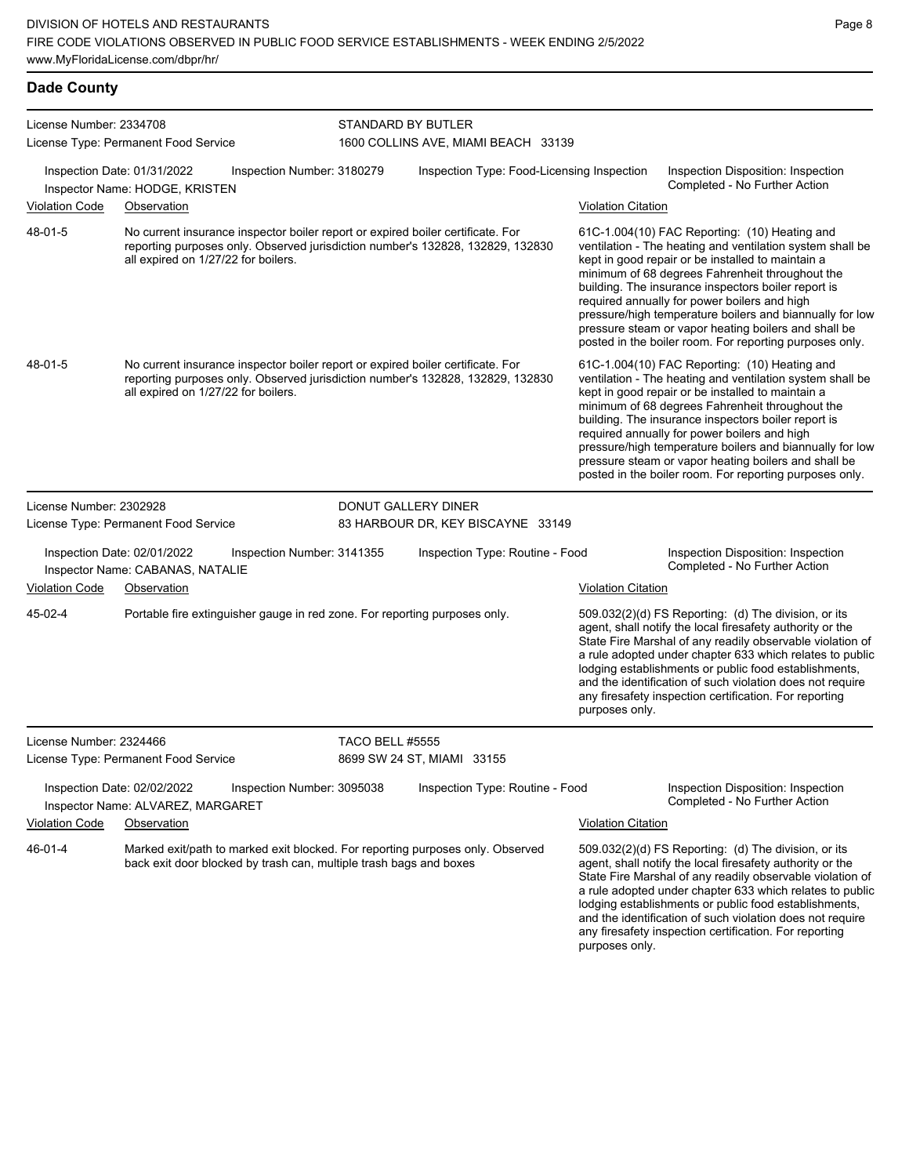|                         | License Number: 2334708<br>License Type: Permanent Food Service                                                                                                                                          |                            | STANDARD BY BUTLER<br>1600 COLLINS AVE, MIAMI BEACH 33139 |                           |                                                                                                                                                                                                                                                                                                                                                                                                                                                                                                          |
|-------------------------|----------------------------------------------------------------------------------------------------------------------------------------------------------------------------------------------------------|----------------------------|-----------------------------------------------------------|---------------------------|----------------------------------------------------------------------------------------------------------------------------------------------------------------------------------------------------------------------------------------------------------------------------------------------------------------------------------------------------------------------------------------------------------------------------------------------------------------------------------------------------------|
|                         | Inspection Date: 01/31/2022<br>Inspector Name: HODGE, KRISTEN                                                                                                                                            | Inspection Number: 3180279 | Inspection Type: Food-Licensing Inspection                |                           | Inspection Disposition: Inspection<br>Completed - No Further Action                                                                                                                                                                                                                                                                                                                                                                                                                                      |
| <b>Violation Code</b>   | Observation                                                                                                                                                                                              |                            |                                                           | <b>Violation Citation</b> |                                                                                                                                                                                                                                                                                                                                                                                                                                                                                                          |
| 48-01-5                 | No current insurance inspector boiler report or expired boiler certificate. For<br>reporting purposes only. Observed jurisdiction number's 132828, 132829, 132830<br>all expired on 1/27/22 for boilers. |                            |                                                           |                           | 61C-1.004(10) FAC Reporting: (10) Heating and<br>ventilation - The heating and ventilation system shall be<br>kept in good repair or be installed to maintain a<br>minimum of 68 degrees Fahrenheit throughout the<br>building. The insurance inspectors boiler report is<br>required annually for power boilers and high<br>pressure/high temperature boilers and biannually for low<br>pressure steam or vapor heating boilers and shall be<br>posted in the boiler room. For reporting purposes only. |
| 48-01-5                 | No current insurance inspector boiler report or expired boiler certificate. For<br>reporting purposes only. Observed jurisdiction number's 132828, 132829, 132830<br>all expired on 1/27/22 for boilers. |                            |                                                           |                           | 61C-1.004(10) FAC Reporting: (10) Heating and<br>ventilation - The heating and ventilation system shall be<br>kept in good repair or be installed to maintain a<br>minimum of 68 degrees Fahrenheit throughout the<br>building. The insurance inspectors boiler report is<br>required annually for power boilers and high<br>pressure/high temperature boilers and biannually for low<br>pressure steam or vapor heating boilers and shall be<br>posted in the boiler room. For reporting purposes only. |
| License Number: 2302928 |                                                                                                                                                                                                          |                            | DONUT GALLERY DINER                                       |                           |                                                                                                                                                                                                                                                                                                                                                                                                                                                                                                          |
|                         | License Type: Permanent Food Service                                                                                                                                                                     |                            | 83 HARBOUR DR, KEY BISCAYNE 33149                         |                           |                                                                                                                                                                                                                                                                                                                                                                                                                                                                                                          |
|                         | Inspection Date: 02/01/2022<br>Inspector Name: CABANAS, NATALIE                                                                                                                                          | Inspection Number: 3141355 | Inspection Type: Routine - Food                           |                           | Inspection Disposition: Inspection<br>Completed - No Further Action                                                                                                                                                                                                                                                                                                                                                                                                                                      |
| <b>Violation Code</b>   | Observation                                                                                                                                                                                              |                            |                                                           | <b>Violation Citation</b> |                                                                                                                                                                                                                                                                                                                                                                                                                                                                                                          |
| 45-02-4                 | Portable fire extinguisher gauge in red zone. For reporting purposes only.                                                                                                                               |                            |                                                           | purposes only.            | 509.032(2)(d) FS Reporting: (d) The division, or its<br>agent, shall notify the local firesafety authority or the<br>State Fire Marshal of any readily observable violation of<br>a rule adopted under chapter 633 which relates to public<br>lodging establishments or public food establishments,<br>and the identification of such violation does not require<br>any firesafety inspection certification. For reporting                                                                               |
| License Number: 2324466 |                                                                                                                                                                                                          | <b>TACO BELL #5555</b>     |                                                           |                           |                                                                                                                                                                                                                                                                                                                                                                                                                                                                                                          |
|                         | License Type: Permanent Food Service                                                                                                                                                                     |                            | 8699 SW 24 ST, MIAMI 33155                                |                           |                                                                                                                                                                                                                                                                                                                                                                                                                                                                                                          |
|                         | Inspection Date: 02/02/2022<br>Inspector Name: ALVAREZ, MARGARET                                                                                                                                         | Inspection Number: 3095038 | Inspection Type: Routine - Food                           |                           | Inspection Disposition: Inspection<br>Completed - No Further Action                                                                                                                                                                                                                                                                                                                                                                                                                                      |
| <b>Violation Code</b>   | Observation                                                                                                                                                                                              |                            |                                                           | <b>Violation Citation</b> |                                                                                                                                                                                                                                                                                                                                                                                                                                                                                                          |
| 46-01-4                 | Marked exit/path to marked exit blocked. For reporting purposes only. Observed<br>back exit door blocked by trash can, multiple trash bags and boxes                                                     |                            |                                                           | purposes only.            | 509.032(2)(d) FS Reporting: (d) The division, or its<br>agent, shall notify the local firesafety authority or the<br>State Fire Marshal of any readily observable violation of<br>a rule adopted under chapter 633 which relates to public<br>lodging establishments or public food establishments,<br>and the identification of such violation does not require<br>any firesafety inspection certification. For reporting                                                                               |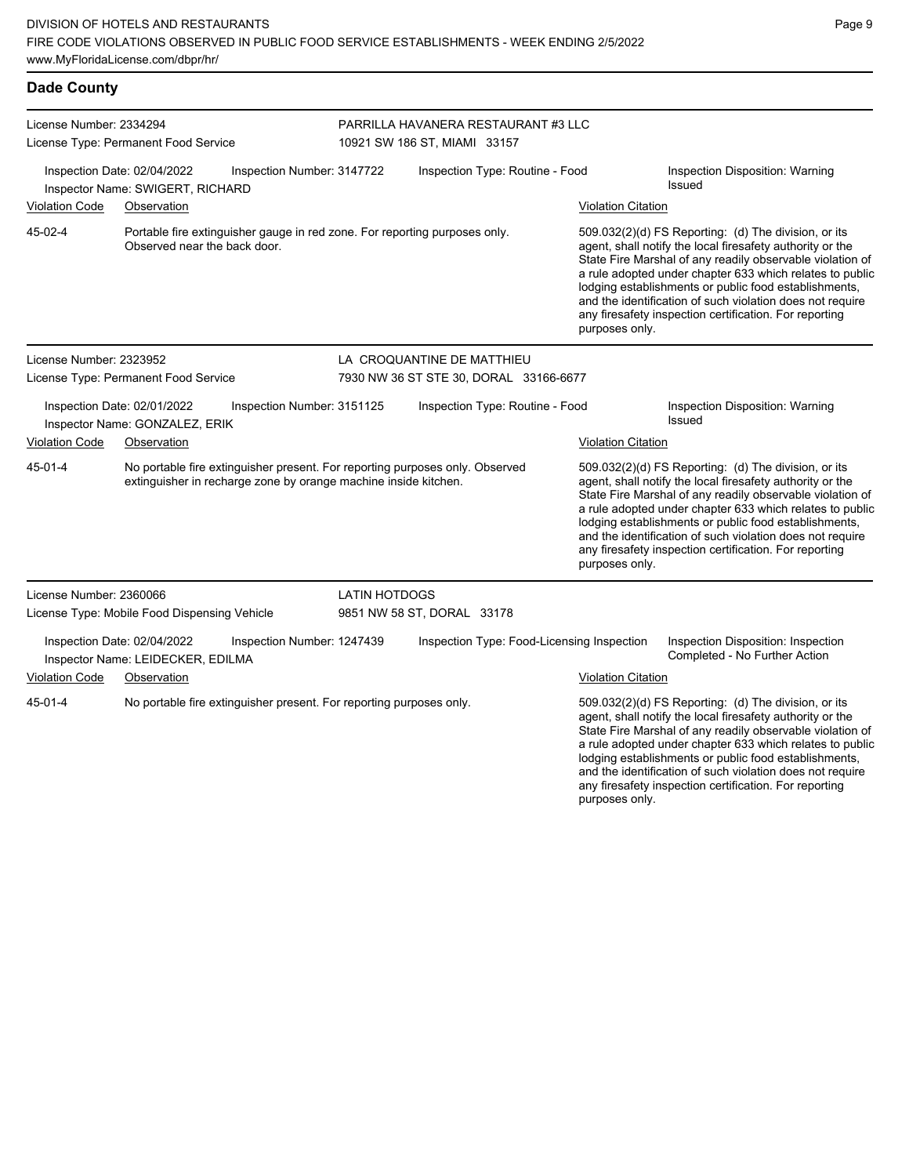| <b>Dade County</b>                                              |                                                                  |                                                                                                                                                 |                            |                                     |                                            |                           |                                                                                                                                                                                                                                                                                                                                                                                                                            |
|-----------------------------------------------------------------|------------------------------------------------------------------|-------------------------------------------------------------------------------------------------------------------------------------------------|----------------------------|-------------------------------------|--------------------------------------------|---------------------------|----------------------------------------------------------------------------------------------------------------------------------------------------------------------------------------------------------------------------------------------------------------------------------------------------------------------------------------------------------------------------------------------------------------------------|
| License Number: 2334294<br>License Type: Permanent Food Service |                                                                  | 10921 SW 186 ST, MIAMI 33157                                                                                                                    |                            | PARRILLA HAVANERA RESTAURANT #3 LLC |                                            |                           |                                                                                                                                                                                                                                                                                                                                                                                                                            |
| Inspection Date: 02/04/2022<br>Inspector Name: SWIGERT, RICHARD |                                                                  | Inspection Number: 3147722                                                                                                                      |                            |                                     | Inspection Type: Routine - Food            |                           | Inspection Disposition: Warning<br><b>Issued</b>                                                                                                                                                                                                                                                                                                                                                                           |
| <b>Violation Code</b>                                           | Observation                                                      |                                                                                                                                                 |                            |                                     |                                            | <b>Violation Citation</b> |                                                                                                                                                                                                                                                                                                                                                                                                                            |
| 45-02-4                                                         | Observed near the back door.                                     | Portable fire extinguisher gauge in red zone. For reporting purposes only.                                                                      |                            |                                     |                                            | purposes only.            | 509.032(2)(d) FS Reporting: (d) The division, or its<br>agent, shall notify the local firesafety authority or the<br>State Fire Marshal of any readily observable violation of<br>a rule adopted under chapter 633 which relates to public<br>lodging establishments or public food establishments,<br>and the identification of such violation does not require<br>any firesafety inspection certification. For reporting |
| License Number: 2323952                                         |                                                                  |                                                                                                                                                 | LA CROQUANTINE DE MATTHIEU |                                     |                                            |                           |                                                                                                                                                                                                                                                                                                                                                                                                                            |
|                                                                 | License Type: Permanent Food Service                             |                                                                                                                                                 |                            |                                     | 7930 NW 36 ST STE 30, DORAL 33166-6677     |                           |                                                                                                                                                                                                                                                                                                                                                                                                                            |
|                                                                 | Inspection Date: 02/01/2022<br>Inspector Name: GONZALEZ, ERIK    | Inspection Number: 3151125                                                                                                                      |                            |                                     | Inspection Type: Routine - Food            |                           | Inspection Disposition: Warning<br><b>Issued</b>                                                                                                                                                                                                                                                                                                                                                                           |
| <b>Violation Code</b>                                           | Observation                                                      |                                                                                                                                                 |                            |                                     |                                            | <b>Violation Citation</b> |                                                                                                                                                                                                                                                                                                                                                                                                                            |
| 45-01-4                                                         |                                                                  | No portable fire extinguisher present. For reporting purposes only. Observed<br>extinguisher in recharge zone by orange machine inside kitchen. |                            |                                     |                                            | purposes only.            | 509.032(2)(d) FS Reporting: (d) The division, or its<br>agent, shall notify the local firesafety authority or the<br>State Fire Marshal of any readily observable violation of<br>a rule adopted under chapter 633 which relates to public<br>lodging establishments or public food establishments,<br>and the identification of such violation does not require<br>any firesafety inspection certification. For reporting |
| License Number: 2360066                                         |                                                                  |                                                                                                                                                 | LATIN HOTDOGS              |                                     |                                            |                           |                                                                                                                                                                                                                                                                                                                                                                                                                            |
|                                                                 | License Type: Mobile Food Dispensing Vehicle                     |                                                                                                                                                 | 9851 NW 58 ST, DORAL 33178 |                                     |                                            |                           |                                                                                                                                                                                                                                                                                                                                                                                                                            |
|                                                                 | Inspection Date: 02/04/2022<br>Inspector Name: LEIDECKER, EDILMA | Inspection Number: 1247439                                                                                                                      |                            |                                     | Inspection Type: Food-Licensing Inspection |                           | Inspection Disposition: Inspection<br>Completed - No Further Action                                                                                                                                                                                                                                                                                                                                                        |
| <b>Violation Code</b>                                           | Observation                                                      |                                                                                                                                                 |                            |                                     |                                            | <b>Violation Citation</b> |                                                                                                                                                                                                                                                                                                                                                                                                                            |
| 45-01-4                                                         |                                                                  | No portable fire extinguisher present. For reporting purposes only.                                                                             |                            |                                     |                                            |                           | 509.032(2)(d) FS Reporting: (d) The division, or its<br>agent, shall notify the local firesafety authority or the<br>State Fire Marshal of any readily observable violation of<br>a rule adopted under chapter 633 which relates to public<br>lodging establishments or public food establishments,<br>and the identification of such violation does not require                                                           |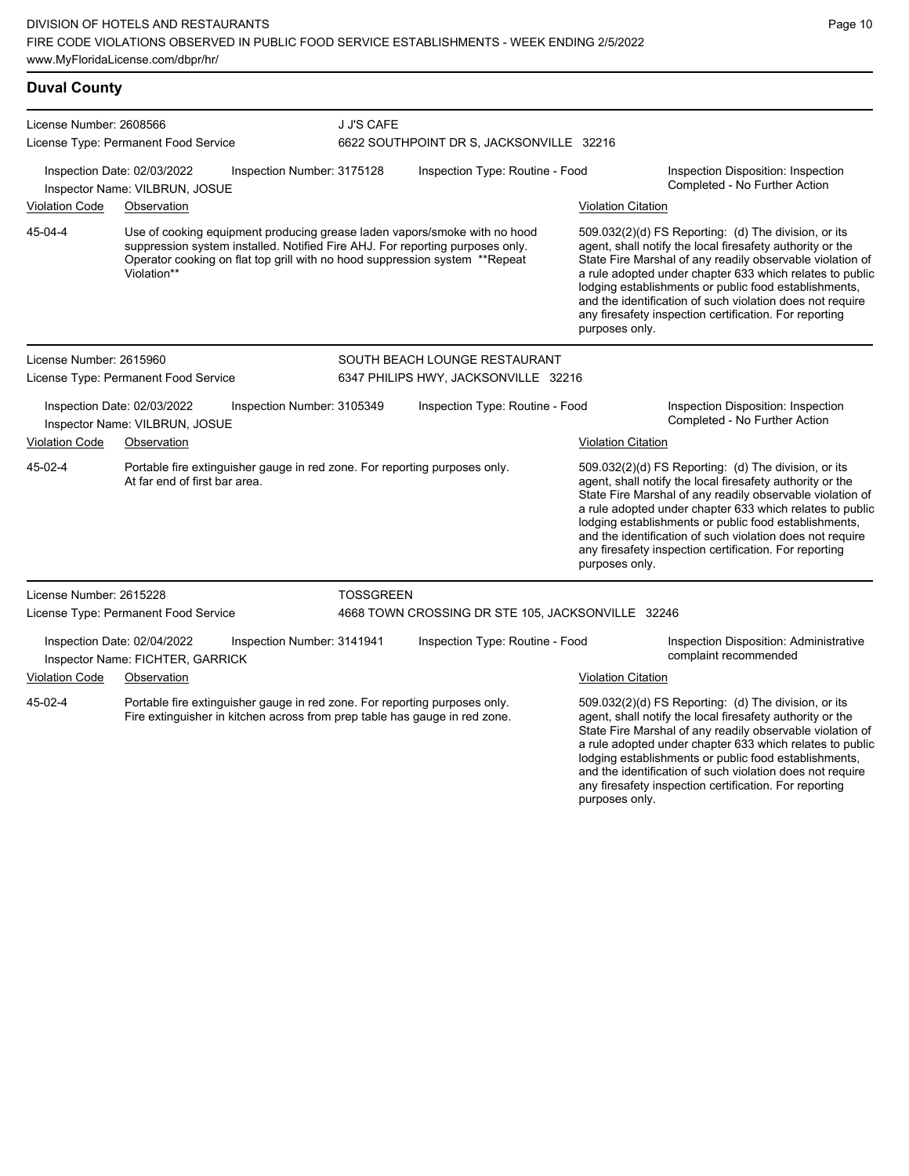| <b>Duval County</b>                  |                                                                                                             |                            |                                      |                                                                                                                                                                                                                                           |                           |                                                                                                                                                                                                                                                                                                                                                                                                                            |  |  |  |
|--------------------------------------|-------------------------------------------------------------------------------------------------------------|----------------------------|--------------------------------------|-------------------------------------------------------------------------------------------------------------------------------------------------------------------------------------------------------------------------------------------|---------------------------|----------------------------------------------------------------------------------------------------------------------------------------------------------------------------------------------------------------------------------------------------------------------------------------------------------------------------------------------------------------------------------------------------------------------------|--|--|--|
| License Number: 2608566              |                                                                                                             |                            | J J'S CAFE                           |                                                                                                                                                                                                                                           |                           |                                                                                                                                                                                                                                                                                                                                                                                                                            |  |  |  |
|                                      | License Type: Permanent Food Service                                                                        |                            |                                      | 6622 SOUTHPOINT DR S, JACKSONVILLE 32216                                                                                                                                                                                                  |                           |                                                                                                                                                                                                                                                                                                                                                                                                                            |  |  |  |
|                                      | Inspection Date: 02/03/2022<br>Inspector Name: VILBRUN, JOSUE                                               | Inspection Number: 3175128 | Inspection Type: Routine - Food      |                                                                                                                                                                                                                                           |                           | Inspection Disposition: Inspection<br>Completed - No Further Action                                                                                                                                                                                                                                                                                                                                                        |  |  |  |
| <b>Violation Code</b>                | Observation                                                                                                 |                            |                                      |                                                                                                                                                                                                                                           | <b>Violation Citation</b> |                                                                                                                                                                                                                                                                                                                                                                                                                            |  |  |  |
| 45-04-4                              | Violation**                                                                                                 |                            |                                      | Use of cooking equipment producing grease laden vapors/smoke with no hood<br>suppression system installed. Notified Fire AHJ. For reporting purposes only.<br>Operator cooking on flat top grill with no hood suppression system **Repeat | purposes only.            | 509.032(2)(d) FS Reporting: (d) The division, or its<br>agent, shall notify the local firesafety authority or the<br>State Fire Marshal of any readily observable violation of<br>a rule adopted under chapter 633 which relates to public<br>lodging establishments or public food establishments,<br>and the identification of such violation does not require<br>any firesafety inspection certification. For reporting |  |  |  |
| License Number: 2615960              |                                                                                                             |                            |                                      | SOUTH BEACH LOUNGE RESTAURANT                                                                                                                                                                                                             |                           |                                                                                                                                                                                                                                                                                                                                                                                                                            |  |  |  |
| License Type: Permanent Food Service |                                                                                                             |                            | 6347 PHILIPS HWY, JACKSONVILLE 32216 |                                                                                                                                                                                                                                           |                           |                                                                                                                                                                                                                                                                                                                                                                                                                            |  |  |  |
|                                      | Inspection Date: 02/03/2022<br>Inspector Name: VILBRUN, JOSUE                                               | Inspection Number: 3105349 |                                      | Inspection Type: Routine - Food                                                                                                                                                                                                           |                           | Inspection Disposition: Inspection<br>Completed - No Further Action                                                                                                                                                                                                                                                                                                                                                        |  |  |  |
| <b>Violation Code</b>                | Observation                                                                                                 |                            |                                      |                                                                                                                                                                                                                                           | <b>Violation Citation</b> |                                                                                                                                                                                                                                                                                                                                                                                                                            |  |  |  |
| 45-02-4                              | Portable fire extinguisher gauge in red zone. For reporting purposes only.<br>At far end of first bar area. |                            |                                      |                                                                                                                                                                                                                                           | purposes only.            | 509.032(2)(d) FS Reporting: (d) The division, or its<br>agent, shall notify the local firesafety authority or the<br>State Fire Marshal of any readily observable violation of<br>a rule adopted under chapter 633 which relates to public<br>lodging establishments or public food establishments,<br>and the identification of such violation does not require<br>any firesafety inspection certification. For reporting |  |  |  |
| License Number: 2615228              |                                                                                                             |                            | <b>TOSSGREEN</b>                     |                                                                                                                                                                                                                                           |                           |                                                                                                                                                                                                                                                                                                                                                                                                                            |  |  |  |
|                                      | License Type: Permanent Food Service                                                                        |                            |                                      | 4668 TOWN CROSSING DR STE 105, JACKSONVILLE 32246                                                                                                                                                                                         |                           |                                                                                                                                                                                                                                                                                                                                                                                                                            |  |  |  |
|                                      | Inspection Date: 02/04/2022<br>Inspector Name: FICHTER, GARRICK                                             | Inspection Number: 3141941 |                                      | Inspection Type: Routine - Food                                                                                                                                                                                                           |                           | Inspection Disposition: Administrative<br>complaint recommended                                                                                                                                                                                                                                                                                                                                                            |  |  |  |
| <b>Violation Code</b>                | Observation                                                                                                 |                            |                                      |                                                                                                                                                                                                                                           | <b>Violation Citation</b> |                                                                                                                                                                                                                                                                                                                                                                                                                            |  |  |  |
| 45-02-4                              | Portable fire extinguisher gauge in red zone. For reporting purposes only.                                  |                            |                                      | Fire extinguisher in kitchen across from prep table has gauge in red zone.                                                                                                                                                                |                           | 509.032(2)(d) FS Reporting: (d) The division, or its<br>agent, shall notify the local firesafety authority or the<br>State Fire Marshal of any readily observable violation of<br>a rule adopted under chapter 633 which relates to public                                                                                                                                                                                 |  |  |  |

lodging establishments or public food establishments, and the identification of such violation does not require any firesafety inspection certification. For reporting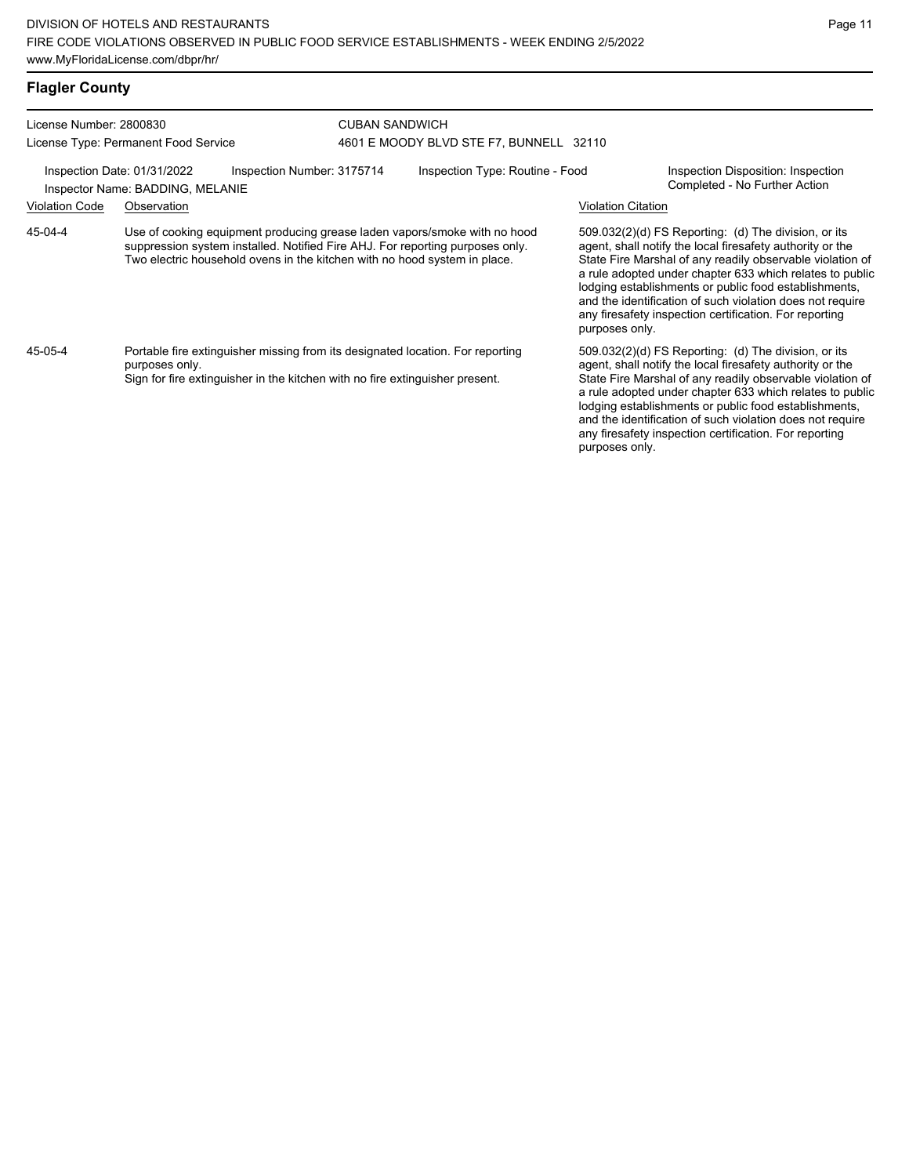| <b>Flagler County</b>   |                                                                 |                                                                                                                                                                                                                                         |                       |                                         |                    |                                                                                                                                                                                                                                                                                                                                                                                                                            |
|-------------------------|-----------------------------------------------------------------|-----------------------------------------------------------------------------------------------------------------------------------------------------------------------------------------------------------------------------------------|-----------------------|-----------------------------------------|--------------------|----------------------------------------------------------------------------------------------------------------------------------------------------------------------------------------------------------------------------------------------------------------------------------------------------------------------------------------------------------------------------------------------------------------------------|
| License Number: 2800830 | License Type: Permanent Food Service                            |                                                                                                                                                                                                                                         | <b>CUBAN SANDWICH</b> | 4601 E MOODY BLVD STE F7, BUNNELL 32110 |                    |                                                                                                                                                                                                                                                                                                                                                                                                                            |
|                         | Inspection Date: 01/31/2022<br>Inspector Name: BADDING, MELANIE | Inspection Number: 3175714                                                                                                                                                                                                              |                       | Inspection Type: Routine - Food         |                    | Inspection Disposition: Inspection<br>Completed - No Further Action                                                                                                                                                                                                                                                                                                                                                        |
| <b>Violation Code</b>   | Observation                                                     |                                                                                                                                                                                                                                         |                       |                                         | Violation Citation |                                                                                                                                                                                                                                                                                                                                                                                                                            |
| 45-04-4                 |                                                                 | Use of cooking equipment producing grease laden vapors/smoke with no hood<br>suppression system installed. Notified Fire AHJ. For reporting purposes only.<br>Two electric household ovens in the kitchen with no hood system in place. |                       |                                         | purposes only.     | 509.032(2)(d) FS Reporting: (d) The division, or its<br>agent, shall notify the local firesafety authority or the<br>State Fire Marshal of any readily observable violation of<br>a rule adopted under chapter 633 which relates to public<br>lodging establishments or public food establishments,<br>and the identification of such violation does not require<br>any firesafety inspection certification. For reporting |
| 45-05-4                 |                                                                 | Portable fire extinguisher missing from its designated location. For reporting                                                                                                                                                          |                       |                                         |                    | 509.032(2)(d) FS Reporting: (d) The division, or its                                                                                                                                                                                                                                                                                                                                                                       |

Portable fire extinguisher missing from its designated location. For reporting purposes only. Sign for fire extinguisher in the kitchen with no fire extinguisher present.

509.032(2)(d) FS Reporting: (d) The division, or its agent, shall notify the local firesafety authority or the State Fire Marshal of any readily observable violation of a rule adopted under chapter 633 which relates to public lodging establishments or public food establishments, and the identification of such violation does not require any firesafety inspection certification. For reporting purposes only.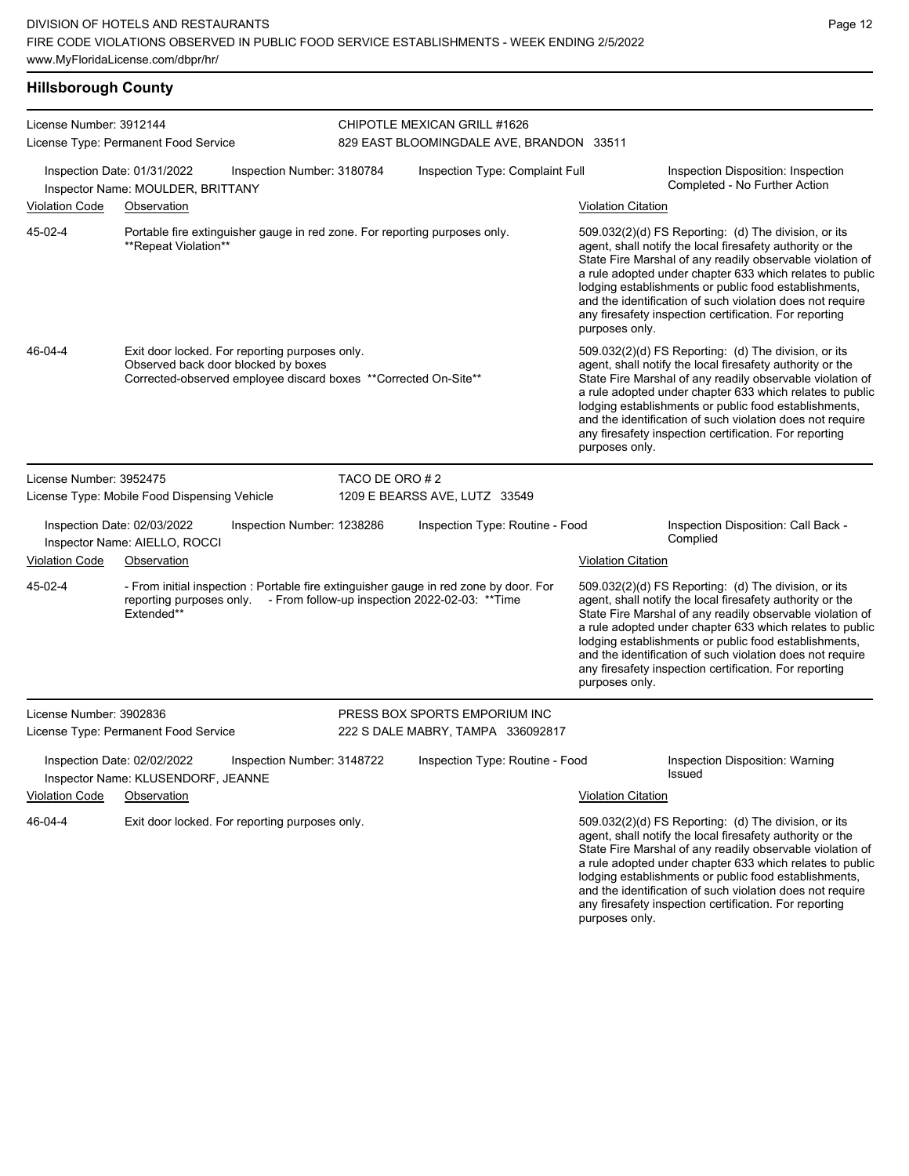**Hillsborough County**

| License Number: 3912144 |                                                                                       |                                                                                                                                                                   | CHIPOTLE MEXICAN GRILL #1626             |                           |                                                                                                                                                                                                                                                                                                                                                                                                                              |
|-------------------------|---------------------------------------------------------------------------------------|-------------------------------------------------------------------------------------------------------------------------------------------------------------------|------------------------------------------|---------------------------|------------------------------------------------------------------------------------------------------------------------------------------------------------------------------------------------------------------------------------------------------------------------------------------------------------------------------------------------------------------------------------------------------------------------------|
|                         | License Type: Permanent Food Service                                                  |                                                                                                                                                                   | 829 EAST BLOOMINGDALE AVE, BRANDON 33511 |                           |                                                                                                                                                                                                                                                                                                                                                                                                                              |
|                         | Inspection Date: 01/31/2022<br>Inspector Name: MOULDER, BRITTANY                      | Inspection Number: 3180784                                                                                                                                        | Inspection Type: Complaint Full          |                           | Inspection Disposition: Inspection<br>Completed - No Further Action                                                                                                                                                                                                                                                                                                                                                          |
| Violation Code          | Observation                                                                           |                                                                                                                                                                   |                                          | <b>Violation Citation</b> |                                                                                                                                                                                                                                                                                                                                                                                                                              |
| 45-02-4                 | **Repeat Violation**                                                                  | Portable fire extinguisher gauge in red zone. For reporting purposes only.                                                                                        |                                          | purposes only.            | $509.032(2)(d)$ FS Reporting: (d) The division, or its<br>agent, shall notify the local firesafety authority or the<br>State Fire Marshal of any readily observable violation of<br>a rule adopted under chapter 633 which relates to public<br>lodging establishments or public food establishments,<br>and the identification of such violation does not require<br>any firesafety inspection certification. For reporting |
| 46-04-4                 | Exit door locked. For reporting purposes only.<br>Observed back door blocked by boxes | Corrected-observed employee discard boxes **Corrected On-Site**                                                                                                   |                                          | purposes only.            | 509.032(2)(d) FS Reporting: (d) The division, or its<br>agent, shall notify the local firesafety authority or the<br>State Fire Marshal of any readily observable violation of<br>a rule adopted under chapter 633 which relates to public<br>lodging establishments or public food establishments,<br>and the identification of such violation does not require<br>any firesafety inspection certification. For reporting   |
| License Number: 3952475 |                                                                                       | TACO DE ORO #2                                                                                                                                                    |                                          |                           |                                                                                                                                                                                                                                                                                                                                                                                                                              |
|                         | License Type: Mobile Food Dispensing Vehicle                                          |                                                                                                                                                                   | 1209 E BEARSS AVE, LUTZ 33549            |                           |                                                                                                                                                                                                                                                                                                                                                                                                                              |
|                         | Inspection Date: 02/03/2022<br>Inspector Name: AIELLO, ROCCI                          | Inspection Number: 1238286                                                                                                                                        | Inspection Type: Routine - Food          |                           | Inspection Disposition: Call Back -<br>Complied                                                                                                                                                                                                                                                                                                                                                                              |
| <b>Violation Code</b>   | Observation                                                                           |                                                                                                                                                                   |                                          | <b>Violation Citation</b> |                                                                                                                                                                                                                                                                                                                                                                                                                              |
| 45-02-4                 | Extended**                                                                            | - From initial inspection : Portable fire extinguisher gauge in red zone by door. For<br>reporting purposes only. - From follow-up inspection 2022-02-03: ** Time |                                          | purposes only.            | 509.032(2)(d) FS Reporting: (d) The division, or its<br>agent, shall notify the local firesafety authority or the<br>State Fire Marshal of any readily observable violation of<br>a rule adopted under chapter 633 which relates to public<br>lodging establishments or public food establishments,<br>and the identification of such violation does not require<br>any firesafety inspection certification. For reporting   |
| License Number: 3902836 |                                                                                       |                                                                                                                                                                   | PRESS BOX SPORTS EMPORIUM INC            |                           |                                                                                                                                                                                                                                                                                                                                                                                                                              |
|                         | License Type: Permanent Food Service                                                  |                                                                                                                                                                   | 222 S DALE MABRY, TAMPA 336092817        |                           |                                                                                                                                                                                                                                                                                                                                                                                                                              |
|                         | Inspection Date: 02/02/2022<br>Inspector Name: KLUSENDORF, JEANNE                     | Inspection Number: 3148722                                                                                                                                        | Inspection Type: Routine - Food          |                           | Inspection Disposition: Warning<br>Issued                                                                                                                                                                                                                                                                                                                                                                                    |
| <b>Violation Code</b>   | Observation                                                                           |                                                                                                                                                                   |                                          | <b>Violation Citation</b> |                                                                                                                                                                                                                                                                                                                                                                                                                              |
| 46-04-4                 | Exit door locked. For reporting purposes only.                                        |                                                                                                                                                                   |                                          |                           | 509.032(2)(d) FS Reporting: (d) The division, or its<br>agent, shall notify the local firesafety authority or the<br>State Fire Marshal of any readily observable violation of<br>a rule adopted under chapter 633 which relates to public<br>lodging establishments or public food establishments,<br>and the identification of such violation does not require<br>any firesafety inspection certification. For reporting   |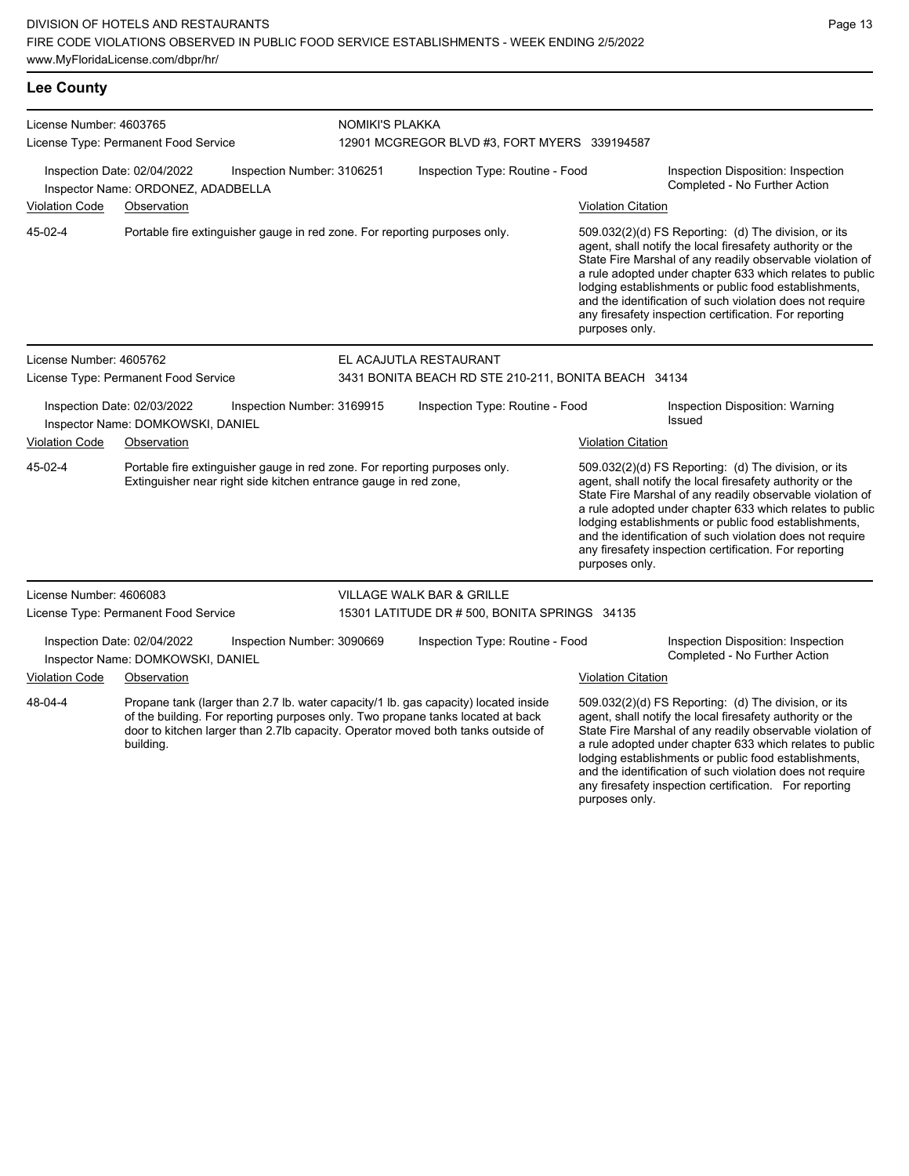| License Number: 4603765<br>License Type: Permanent Food Service                                |                                                                   | NOMIKI'S PLAKKA<br>12901 MCGREGOR BLVD #3, FORT MYERS 339194587                                                                                |                                 |                                                                                                                                                                                                                                                            |                                                                     |                                                                                                                                                                                                                                                                                                                                                                                                                            |
|------------------------------------------------------------------------------------------------|-------------------------------------------------------------------|------------------------------------------------------------------------------------------------------------------------------------------------|---------------------------------|------------------------------------------------------------------------------------------------------------------------------------------------------------------------------------------------------------------------------------------------------------|---------------------------------------------------------------------|----------------------------------------------------------------------------------------------------------------------------------------------------------------------------------------------------------------------------------------------------------------------------------------------------------------------------------------------------------------------------------------------------------------------------|
|                                                                                                | Inspection Date: 02/04/2022<br>Inspector Name: ORDONEZ, ADADBELLA | Inspection Number: 3106251                                                                                                                     | Inspection Type: Routine - Food |                                                                                                                                                                                                                                                            | Inspection Disposition: Inspection<br>Completed - No Further Action |                                                                                                                                                                                                                                                                                                                                                                                                                            |
| <b>Violation Code</b>                                                                          | Observation                                                       |                                                                                                                                                |                                 |                                                                                                                                                                                                                                                            | <b>Violation Citation</b>                                           |                                                                                                                                                                                                                                                                                                                                                                                                                            |
| 45-02-4                                                                                        |                                                                   | Portable fire extinguisher gauge in red zone. For reporting purposes only.                                                                     |                                 |                                                                                                                                                                                                                                                            | purposes only.                                                      | 509.032(2)(d) FS Reporting: (d) The division, or its<br>agent, shall notify the local firesafety authority or the<br>State Fire Marshal of any readily observable violation of<br>a rule adopted under chapter 633 which relates to public<br>lodging establishments or public food establishments,<br>and the identification of such violation does not require<br>any firesafety inspection certification. For reporting |
| License Number: 4605762                                                                        |                                                                   |                                                                                                                                                |                                 | EL ACAJUTLA RESTAURANT                                                                                                                                                                                                                                     |                                                                     |                                                                                                                                                                                                                                                                                                                                                                                                                            |
|                                                                                                | License Type: Permanent Food Service                              |                                                                                                                                                |                                 | 3431 BONITA BEACH RD STE 210-211, BONITA BEACH 34134                                                                                                                                                                                                       |                                                                     |                                                                                                                                                                                                                                                                                                                                                                                                                            |
| Inspection Date: 02/03/2022<br>Inspection Number: 3169915<br>Inspector Name: DOMKOWSKI, DANIEL |                                                                   | Inspection Type: Routine - Food                                                                                                                |                                 |                                                                                                                                                                                                                                                            | Inspection Disposition: Warning<br>Issued                           |                                                                                                                                                                                                                                                                                                                                                                                                                            |
| <b>Violation Code</b>                                                                          | Observation                                                       |                                                                                                                                                |                                 |                                                                                                                                                                                                                                                            | <b>Violation Citation</b>                                           |                                                                                                                                                                                                                                                                                                                                                                                                                            |
| 45-02-4                                                                                        |                                                                   | Portable fire extinguisher gauge in red zone. For reporting purposes only.<br>Extinguisher near right side kitchen entrance gauge in red zone, |                                 |                                                                                                                                                                                                                                                            | purposes only.                                                      | 509.032(2)(d) FS Reporting: (d) The division, or its<br>agent, shall notify the local firesafety authority or the<br>State Fire Marshal of any readily observable violation of<br>a rule adopted under chapter 633 which relates to public<br>lodging establishments or public food establishments,<br>and the identification of such violation does not require<br>any firesafety inspection certification. For reporting |
| License Number: 4606083                                                                        |                                                                   |                                                                                                                                                |                                 | <b>VILLAGE WALK BAR &amp; GRILLE</b>                                                                                                                                                                                                                       |                                                                     |                                                                                                                                                                                                                                                                                                                                                                                                                            |
|                                                                                                | License Type: Permanent Food Service                              |                                                                                                                                                |                                 | 15301 LATITUDE DR # 500, BONITA SPRINGS 34135                                                                                                                                                                                                              |                                                                     |                                                                                                                                                                                                                                                                                                                                                                                                                            |
|                                                                                                | Inspection Date: 02/04/2022<br>Inspector Name: DOMKOWSKI, DANIEL  | Inspection Number: 3090669                                                                                                                     |                                 | Inspection Type: Routine - Food                                                                                                                                                                                                                            |                                                                     | Inspection Disposition: Inspection<br>Completed - No Further Action                                                                                                                                                                                                                                                                                                                                                        |
| <b>Violation Code</b>                                                                          | Observation                                                       |                                                                                                                                                |                                 |                                                                                                                                                                                                                                                            | <b>Violation Citation</b>                                           |                                                                                                                                                                                                                                                                                                                                                                                                                            |
| 48-04-4                                                                                        | building.                                                         |                                                                                                                                                |                                 | Propane tank (larger than 2.7 lb. water capacity/1 lb. gas capacity) located inside<br>of the building. For reporting purposes only. Two propane tanks located at back<br>door to kitchen larger than 2.7lb capacity. Operator moved both tanks outside of |                                                                     | 509.032(2)(d) FS Reporting: (d) The division, or its<br>agent, shall notify the local firesafety authority or the<br>State Fire Marshal of any readily observable violation of<br>a rule adopted under chapter 633 which relates to public<br>lodging establishments or public food establishments,<br>and the identification of such violation does not require                                                           |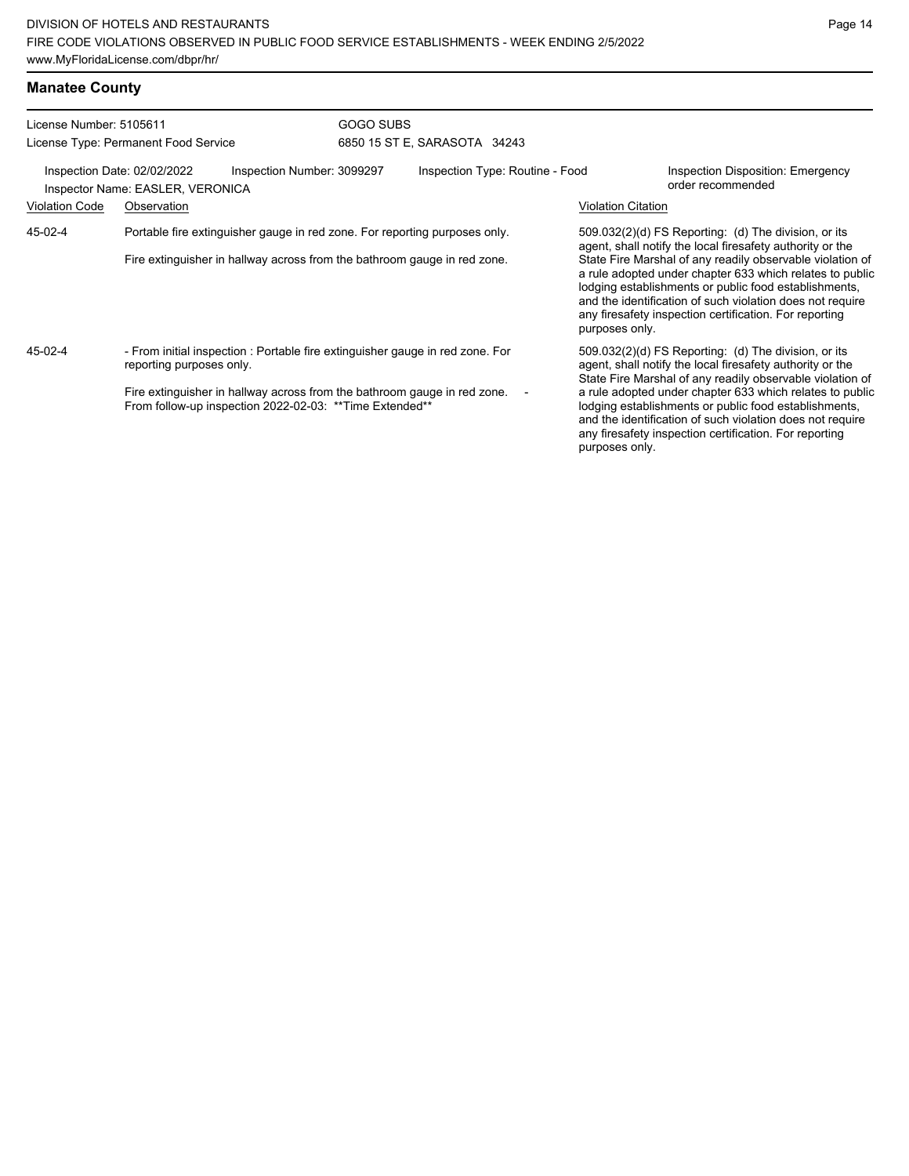| <b>Manatee County</b> |  |
|-----------------------|--|
|-----------------------|--|

| License Number: 5105611 |                                                                                                                                                                                       | GOGO SUBS |                                                                                                                                                                                                                                            |                           |                                                                                                                                                                                                                                                                                                                                                                                                                              |
|-------------------------|---------------------------------------------------------------------------------------------------------------------------------------------------------------------------------------|-----------|--------------------------------------------------------------------------------------------------------------------------------------------------------------------------------------------------------------------------------------------|---------------------------|------------------------------------------------------------------------------------------------------------------------------------------------------------------------------------------------------------------------------------------------------------------------------------------------------------------------------------------------------------------------------------------------------------------------------|
|                         | License Type: Permanent Food Service                                                                                                                                                  |           | 6850 15 ST E, SARASOTA 34243                                                                                                                                                                                                               |                           |                                                                                                                                                                                                                                                                                                                                                                                                                              |
|                         | Inspection Date: 02/02/2022<br>Inspection Number: 3099297<br>Inspector Name: EASLER, VERONICA                                                                                         |           | Inspection Type: Routine - Food                                                                                                                                                                                                            |                           | Inspection Disposition: Emergency<br>order recommended                                                                                                                                                                                                                                                                                                                                                                       |
| <b>Violation Code</b>   | Observation                                                                                                                                                                           |           |                                                                                                                                                                                                                                            | <b>Violation Citation</b> |                                                                                                                                                                                                                                                                                                                                                                                                                              |
| 45-02-4                 | Portable fire extinguisher gauge in red zone. For reporting purposes only.<br>Fire extinguisher in hallway across from the bathroom gauge in red zone.                                |           |                                                                                                                                                                                                                                            | purposes only.            | $509.032(2)(d)$ FS Reporting: (d) The division, or its<br>agent, shall notify the local firesafety authority or the<br>State Fire Marshal of any readily observable violation of<br>a rule adopted under chapter 633 which relates to public<br>lodging establishments or public food establishments,<br>and the identification of such violation does not require<br>any firesafety inspection certification. For reporting |
| 45-02-4                 | - From initial inspection : Portable fire extinguisher gauge in red zone. For<br>reporting purposes only.<br>Fire extinguisher in hallway across from the bathroom gauge in red zone. |           | 509.032(2)(d) FS Reporting: (d) The division, or its<br>agent, shall notify the local firesafety authority or the<br>State Fire Marshal of any readily observable violation of<br>a rule adopted under chapter 633 which relates to public |                           |                                                                                                                                                                                                                                                                                                                                                                                                                              |
|                         | From follow-up inspection 2022-02-03: ** Time Extended**                                                                                                                              |           | purposes only.                                                                                                                                                                                                                             |                           | lodging establishments or public food establishments,<br>and the identification of such violation does not require<br>any firesafety inspection certification. For reporting                                                                                                                                                                                                                                                 |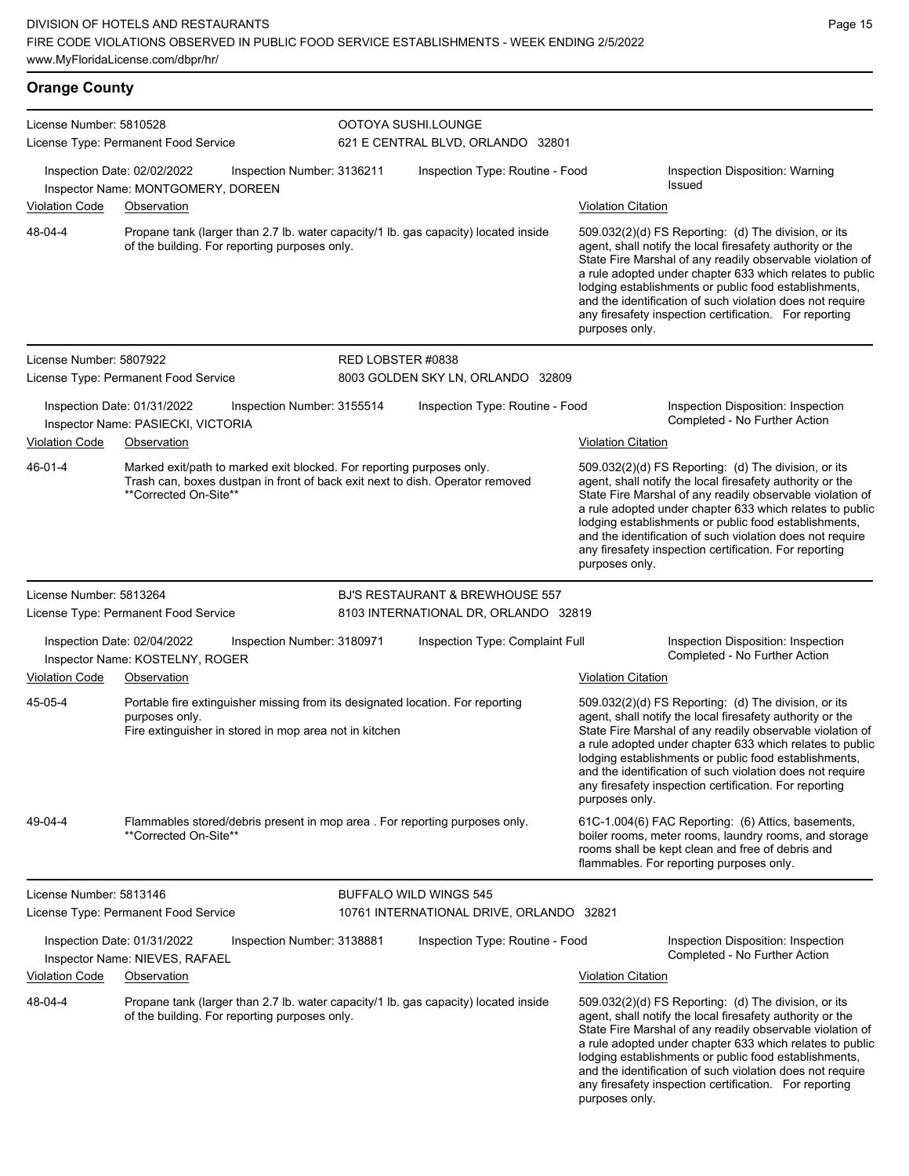| <b>Orange County</b>    |                                                                   |                                                                                                                                                        |                                                                                     |                           |                                                                                                                                                                                                                                                                                                                                                                                                                            |
|-------------------------|-------------------------------------------------------------------|--------------------------------------------------------------------------------------------------------------------------------------------------------|-------------------------------------------------------------------------------------|---------------------------|----------------------------------------------------------------------------------------------------------------------------------------------------------------------------------------------------------------------------------------------------------------------------------------------------------------------------------------------------------------------------------------------------------------------------|
| License Number: 5810528 | License Type: Permanent Food Service                              |                                                                                                                                                        | OOTOYA SUSHI.LOUNGE<br>621 E CENTRAL BLVD, ORLANDO 32801                            |                           |                                                                                                                                                                                                                                                                                                                                                                                                                            |
|                         | Inspection Date: 02/02/2022<br>Inspector Name: MONTGOMERY, DOREEN | Inspection Number: 3136211                                                                                                                             | Inspection Type: Routine - Food                                                     |                           | Inspection Disposition: Warning<br><b>Issued</b>                                                                                                                                                                                                                                                                                                                                                                           |
| Violation Code          | Observation                                                       |                                                                                                                                                        |                                                                                     | <b>Violation Citation</b> |                                                                                                                                                                                                                                                                                                                                                                                                                            |
| 48-04-4                 | of the building. For reporting purposes only.                     |                                                                                                                                                        | Propane tank (larger than 2.7 lb. water capacity/1 lb. gas capacity) located inside | purposes only.            | 509.032(2)(d) FS Reporting: (d) The division, or its<br>agent, shall notify the local firesafety authority or the<br>State Fire Marshal of any readily observable violation of<br>a rule adopted under chapter 633 which relates to public<br>lodging establishments or public food establishments,<br>and the identification of such violation does not require<br>any firesafety inspection certification. For reporting |
| License Number: 5807922 | License Type: Permanent Food Service                              | RED LOBSTER #0838                                                                                                                                      | 8003 GOLDEN SKY LN, ORLANDO 32809                                                   |                           |                                                                                                                                                                                                                                                                                                                                                                                                                            |
|                         | Inspection Date: 01/31/2022<br>Inspector Name: PASIECKI, VICTORIA | Inspection Number: 3155514                                                                                                                             | Inspection Type: Routine - Food                                                     |                           | Inspection Disposition: Inspection<br>Completed - No Further Action                                                                                                                                                                                                                                                                                                                                                        |
| <b>Violation Code</b>   | Observation                                                       |                                                                                                                                                        |                                                                                     | <b>Violation Citation</b> |                                                                                                                                                                                                                                                                                                                                                                                                                            |
| 46-01-4                 | **Corrected On-Site**                                             | Marked exit/path to marked exit blocked. For reporting purposes only.<br>Trash can, boxes dustpan in front of back exit next to dish. Operator removed |                                                                                     | purposes only.            | 509.032(2)(d) FS Reporting: (d) The division, or its<br>agent, shall notify the local firesafety authority or the<br>State Fire Marshal of any readily observable violation of<br>a rule adopted under chapter 633 which relates to public<br>lodging establishments or public food establishments,<br>and the identification of such violation does not require<br>any firesafety inspection certification. For reporting |
| License Number: 5813264 |                                                                   |                                                                                                                                                        | BJ'S RESTAURANT & BREWHOUSE 557                                                     |                           |                                                                                                                                                                                                                                                                                                                                                                                                                            |
|                         | License Type: Permanent Food Service                              |                                                                                                                                                        | 8103 INTERNATIONAL DR, ORLANDO 32819                                                |                           |                                                                                                                                                                                                                                                                                                                                                                                                                            |
|                         | Inspection Date: 02/04/2022<br>Inspector Name: KOSTELNY, ROGER    | Inspection Number: 3180971                                                                                                                             | Inspection Type: Complaint Full                                                     |                           | Inspection Disposition: Inspection<br>Completed - No Further Action                                                                                                                                                                                                                                                                                                                                                        |
| <b>Violation Code</b>   | Observation                                                       |                                                                                                                                                        |                                                                                     | <b>Violation Citation</b> |                                                                                                                                                                                                                                                                                                                                                                                                                            |
| 45-05-4                 | purposes only.                                                    | Portable fire extinguisher missing from its designated location. For reporting<br>Fire extinguisher in stored in mop area not in kitchen               |                                                                                     | purposes only.            | 509.032(2)(d) FS Reporting: (d) The division, or its<br>agent, shall notify the local firesafety authority or the<br>State Fire Marshal of any readily observable violation of<br>a rule adopted under chapter 633 which relates to public<br>lodging establishments or public food establishments,<br>and the identification of such violation does not require<br>any firesafety inspection certification. For reporting |
| 49-04-4                 | **Corrected On-Site**                                             | Flammables stored/debris present in mop area. For reporting purposes only.                                                                             |                                                                                     |                           | 61C-1.004(6) FAC Reporting: (6) Attics, basements,<br>boiler rooms, meter rooms, laundry rooms, and storage<br>rooms shall be kept clean and free of debris and<br>flammables. For reporting purposes only.                                                                                                                                                                                                                |
| License Number: 5813146 |                                                                   |                                                                                                                                                        | BUFFALO WILD WINGS 545                                                              |                           |                                                                                                                                                                                                                                                                                                                                                                                                                            |
|                         | License Type: Permanent Food Service                              |                                                                                                                                                        | 10761 INTERNATIONAL DRIVE, ORLANDO 32821                                            |                           |                                                                                                                                                                                                                                                                                                                                                                                                                            |
|                         | Inspection Date: 01/31/2022<br>Inspector Name: NIEVES, RAFAEL     | Inspection Number: 3138881                                                                                                                             | Inspection Type: Routine - Food                                                     |                           | Inspection Disposition: Inspection<br>Completed - No Further Action                                                                                                                                                                                                                                                                                                                                                        |
| Violation Code          | Observation                                                       |                                                                                                                                                        |                                                                                     | <b>Violation Citation</b> |                                                                                                                                                                                                                                                                                                                                                                                                                            |
| 48-04-4                 | of the building. For reporting purposes only.                     |                                                                                                                                                        | Propane tank (larger than 2.7 lb. water capacity/1 lb. gas capacity) located inside |                           | 509.032(2)(d) FS Reporting: (d) The division, or its<br>agent, shall notify the local firesafety authority or the<br>State Fire Marshal of any readily observable violation of<br>a rule adopted under chapter 633 which relates to public                                                                                                                                                                                 |

Page 15

lodging establishments or public food establishments, and the identification of such violation does not require any firesafety inspection certification. For reporting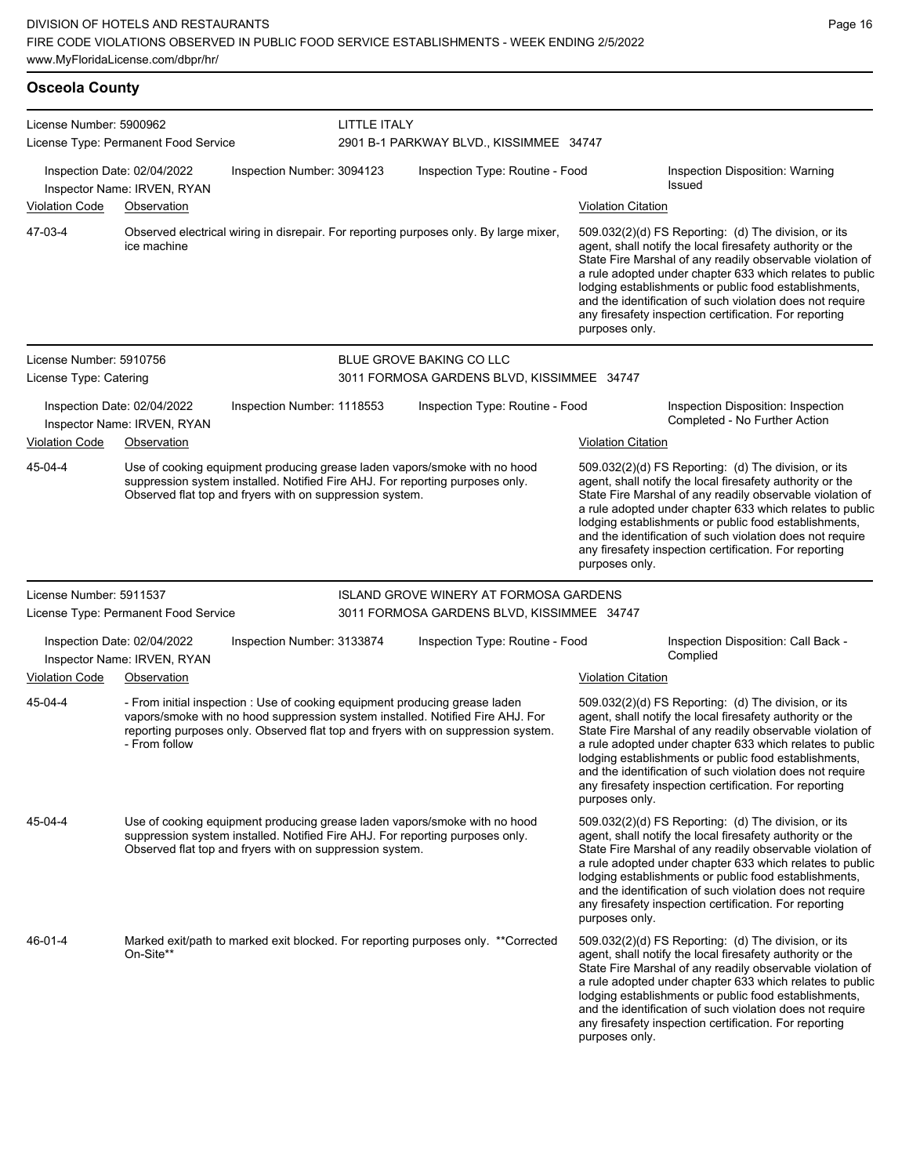| <b>Osceola County</b>   |                                                            |                                                          |              |                                                                                                                                                                                                                                                    |                           |                                                                                                                                                                                                                                                                                                                                                                                                                            |
|-------------------------|------------------------------------------------------------|----------------------------------------------------------|--------------|----------------------------------------------------------------------------------------------------------------------------------------------------------------------------------------------------------------------------------------------------|---------------------------|----------------------------------------------------------------------------------------------------------------------------------------------------------------------------------------------------------------------------------------------------------------------------------------------------------------------------------------------------------------------------------------------------------------------------|
| License Number: 5900962 | License Type: Permanent Food Service                       |                                                          | LITTLE ITALY | 2901 B-1 PARKWAY BLVD., KISSIMMEE 34747                                                                                                                                                                                                            |                           |                                                                                                                                                                                                                                                                                                                                                                                                                            |
|                         | Inspection Date: 02/04/2022<br>Inspector Name: IRVEN, RYAN | Inspection Number: 3094123                               |              | Inspection Type: Routine - Food                                                                                                                                                                                                                    |                           | Inspection Disposition: Warning<br><b>Issued</b>                                                                                                                                                                                                                                                                                                                                                                           |
| <b>Violation Code</b>   | Observation                                                |                                                          |              |                                                                                                                                                                                                                                                    | <b>Violation Citation</b> |                                                                                                                                                                                                                                                                                                                                                                                                                            |
| 47-03-4                 | ice machine                                                |                                                          |              | Observed electrical wiring in disrepair. For reporting purposes only. By large mixer,                                                                                                                                                              | purposes only.            | 509.032(2)(d) FS Reporting (d) The division, or its<br>agent, shall notify the local firesafety authority or the<br>State Fire Marshal of any readily observable violation of<br>a rule adopted under chapter 633 which relates to public<br>lodging establishments or public food establishments,<br>and the identification of such violation does not require<br>any firesafety inspection certification. For reporting  |
| License Number: 5910756 |                                                            |                                                          |              | BLUE GROVE BAKING CO LLC                                                                                                                                                                                                                           |                           |                                                                                                                                                                                                                                                                                                                                                                                                                            |
| License Type: Catering  |                                                            |                                                          |              | 3011 FORMOSA GARDENS BLVD, KISSIMMEE 34747                                                                                                                                                                                                         |                           |                                                                                                                                                                                                                                                                                                                                                                                                                            |
|                         | Inspection Date: 02/04/2022<br>Inspector Name: IRVEN, RYAN | Inspection Number: 1118553                               |              | Inspection Type: Routine - Food                                                                                                                                                                                                                    |                           | Inspection Disposition: Inspection<br>Completed - No Further Action                                                                                                                                                                                                                                                                                                                                                        |
| <b>Violation Code</b>   | Observation                                                |                                                          |              |                                                                                                                                                                                                                                                    | <b>Violation Citation</b> |                                                                                                                                                                                                                                                                                                                                                                                                                            |
| 45-04-4                 |                                                            | Observed flat top and fryers with on suppression system. |              | Use of cooking equipment producing grease laden vapors/smoke with no hood<br>suppression system installed. Notified Fire AHJ. For reporting purposes only.                                                                                         | purposes only.            | 509.032(2)(d) FS Reporting: (d) The division, or its<br>agent, shall notify the local firesafety authority or the<br>State Fire Marshal of any readily observable violation of<br>a rule adopted under chapter 633 which relates to public<br>lodging establishments or public food establishments,<br>and the identification of such violation does not require<br>any firesafety inspection certification. For reporting |
| License Number: 5911537 |                                                            |                                                          |              | ISLAND GROVE WINERY AT FORMOSA GARDENS                                                                                                                                                                                                             |                           |                                                                                                                                                                                                                                                                                                                                                                                                                            |
|                         | License Type: Permanent Food Service                       |                                                          |              | 3011 FORMOSA GARDENS BLVD, KISSIMMEE 34747                                                                                                                                                                                                         |                           |                                                                                                                                                                                                                                                                                                                                                                                                                            |
|                         | Inspection Date: 02/04/2022<br>Inspector Name: IRVEN, RYAN | Inspection Number: 3133874                               |              | Inspection Type: Routine - Food                                                                                                                                                                                                                    |                           | Inspection Disposition: Call Back -<br>Complied                                                                                                                                                                                                                                                                                                                                                                            |
| <b>Violation Code</b>   | Observation                                                |                                                          |              |                                                                                                                                                                                                                                                    | <b>Violation Citation</b> |                                                                                                                                                                                                                                                                                                                                                                                                                            |
| 45-04-4                 | - From follow                                              |                                                          |              | - From initial inspection : Use of cooking equipment producing grease laden<br>vapors/smoke with no hood suppression system installed. Notified Fire AHJ. For<br>reporting purposes only. Observed flat top and fryers with on suppression system. | purposes only.            | 509.032(2)(d) FS Reporting: (d) The division, or its<br>agent, shall notify the local firesafety authority or the<br>State Fire Marshal of any readily observable violation of<br>a rule adopted under chapter 633 which relates to public<br>lodging establishments or public food establishments,<br>and the identification of such violation does not require<br>any firesafety inspection certification. For reporting |
| 45-04-4                 |                                                            | Observed flat top and fryers with on suppression system. |              | Use of cooking equipment producing grease laden vapors/smoke with no hood<br>suppression system installed. Notified Fire AHJ. For reporting purposes only.                                                                                         | purposes only.            | 509.032(2)(d) FS Reporting: (d) The division, or its<br>agent, shall notify the local firesafety authority or the<br>State Fire Marshal of any readily observable violation of<br>a rule adopted under chapter 633 which relates to public<br>lodging establishments or public food establishments,<br>and the identification of such violation does not require<br>any firesafety inspection certification. For reporting |
| 46-01-4                 | On-Site**                                                  |                                                          |              | Marked exit/path to marked exit blocked. For reporting purposes only. **Corrected                                                                                                                                                                  | purposes only.            | 509.032(2)(d) FS Reporting (d) The division, or its<br>agent, shall notify the local firesafety authority or the<br>State Fire Marshal of any readily observable violation of<br>a rule adopted under chapter 633 which relates to public<br>lodging establishments or public food establishments,<br>and the identification of such violation does not require<br>any firesafety inspection certification. For reporting  |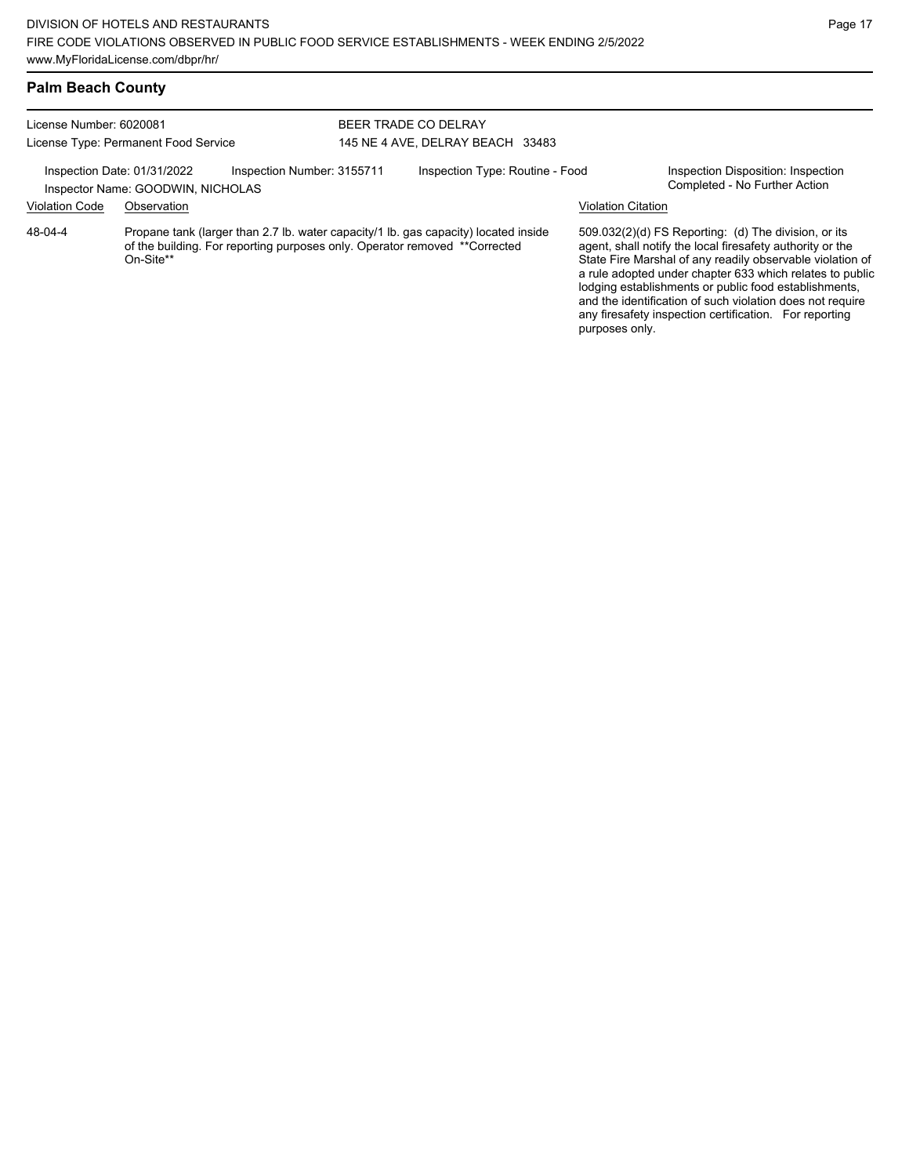| License Number: 6020081 |                                                                  | BEER TRADE CO DELRAY                                                       |  |                                                                                     |                           |                                                                                                                                                                                                                                                                                                                                                                                                                            |
|-------------------------|------------------------------------------------------------------|----------------------------------------------------------------------------|--|-------------------------------------------------------------------------------------|---------------------------|----------------------------------------------------------------------------------------------------------------------------------------------------------------------------------------------------------------------------------------------------------------------------------------------------------------------------------------------------------------------------------------------------------------------------|
|                         | License Type: Permanent Food Service                             |                                                                            |  | 145 NE 4 AVE, DELRAY BEACH 33483                                                    |                           |                                                                                                                                                                                                                                                                                                                                                                                                                            |
|                         | Inspection Date: 01/31/2022<br>Inspector Name: GOODWIN, NICHOLAS | Inspection Number: 3155711                                                 |  | Inspection Type: Routine - Food                                                     |                           | Inspection Disposition: Inspection<br>Completed - No Further Action                                                                                                                                                                                                                                                                                                                                                        |
| <b>Violation Code</b>   | Observation                                                      |                                                                            |  |                                                                                     | <b>Violation Citation</b> |                                                                                                                                                                                                                                                                                                                                                                                                                            |
| 48-04-4                 | On-Site**                                                        | of the building. For reporting purposes only. Operator removed **Corrected |  | Propane tank (larger than 2.7 lb. water capacity/1 lb. gas capacity) located inside |                           | 509.032(2)(d) FS Reporting: (d) The division, or its<br>agent, shall notify the local firesafety authority or the<br>State Fire Marshal of any readily observable violation of<br>a rule adopted under chapter 633 which relates to public<br>lodging establishments or public food establishments,<br>and the identification of such violation does not require<br>any firesafety inspection certification. For reporting |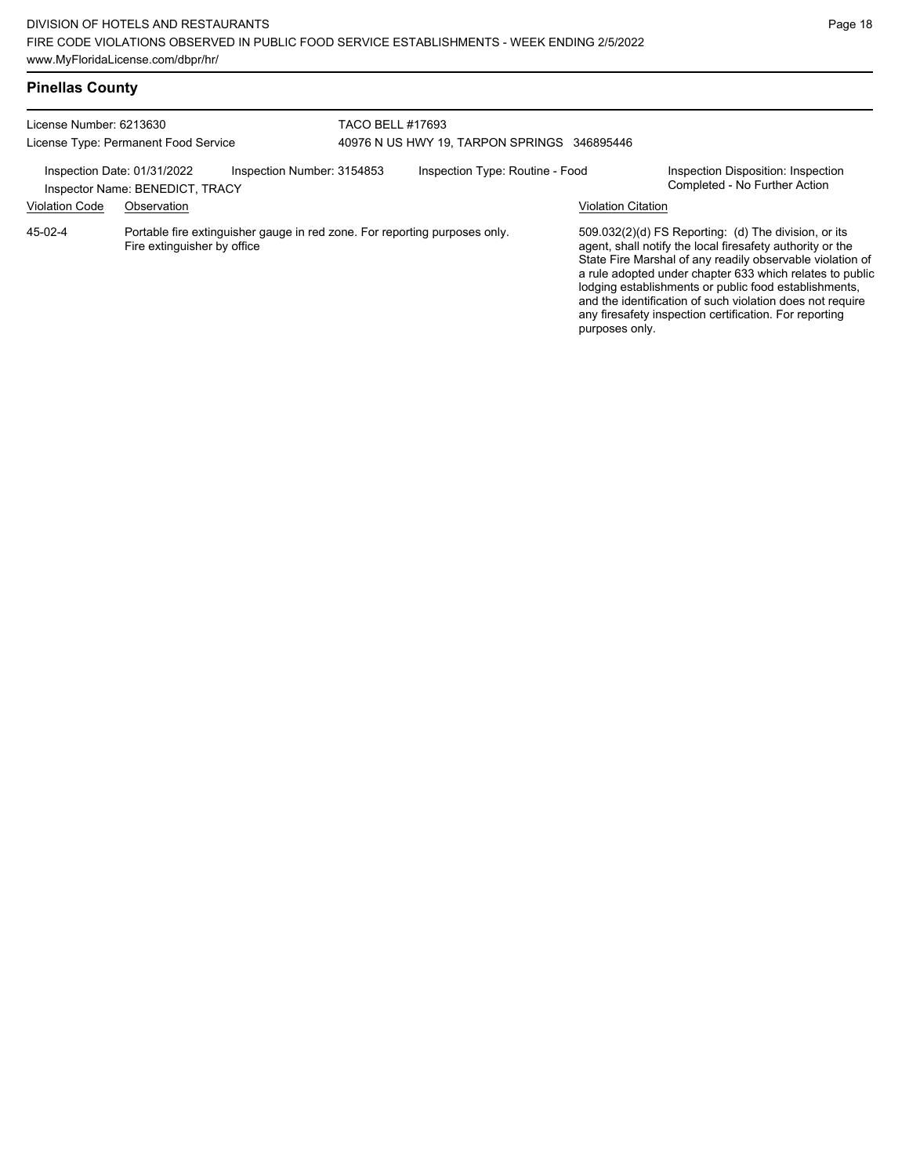# **Pinellas County**

| License Number: 6213630<br>License Type: Permanent Food Service |                                 |                                                                            | <b>TACO BELL #17693</b><br>40976 N US HWY 19, TARPON SPRINGS 346895446 |                                 |                           |                                                                                                                                                                                                                                                                                                                                                                                                                            |
|-----------------------------------------------------------------|---------------------------------|----------------------------------------------------------------------------|------------------------------------------------------------------------|---------------------------------|---------------------------|----------------------------------------------------------------------------------------------------------------------------------------------------------------------------------------------------------------------------------------------------------------------------------------------------------------------------------------------------------------------------------------------------------------------------|
| Inspection Date: 01/31/2022                                     | Inspector Name: BENEDICT, TRACY | Inspection Number: 3154853                                                 |                                                                        | Inspection Type: Routine - Food |                           | Inspection Disposition: Inspection<br>Completed - No Further Action                                                                                                                                                                                                                                                                                                                                                        |
| <b>Violation Code</b>                                           | Observation                     |                                                                            |                                                                        |                                 | <b>Violation Citation</b> |                                                                                                                                                                                                                                                                                                                                                                                                                            |
| 45-02-4                                                         | Fire extinguisher by office     | Portable fire extinguisher gauge in red zone. For reporting purposes only. |                                                                        |                                 | purposes only.            | 509.032(2)(d) FS Reporting: (d) The division, or its<br>agent, shall notify the local firesafety authority or the<br>State Fire Marshal of any readily observable violation of<br>a rule adopted under chapter 633 which relates to public<br>lodging establishments or public food establishments,<br>and the identification of such violation does not require<br>any firesafety inspection certification. For reporting |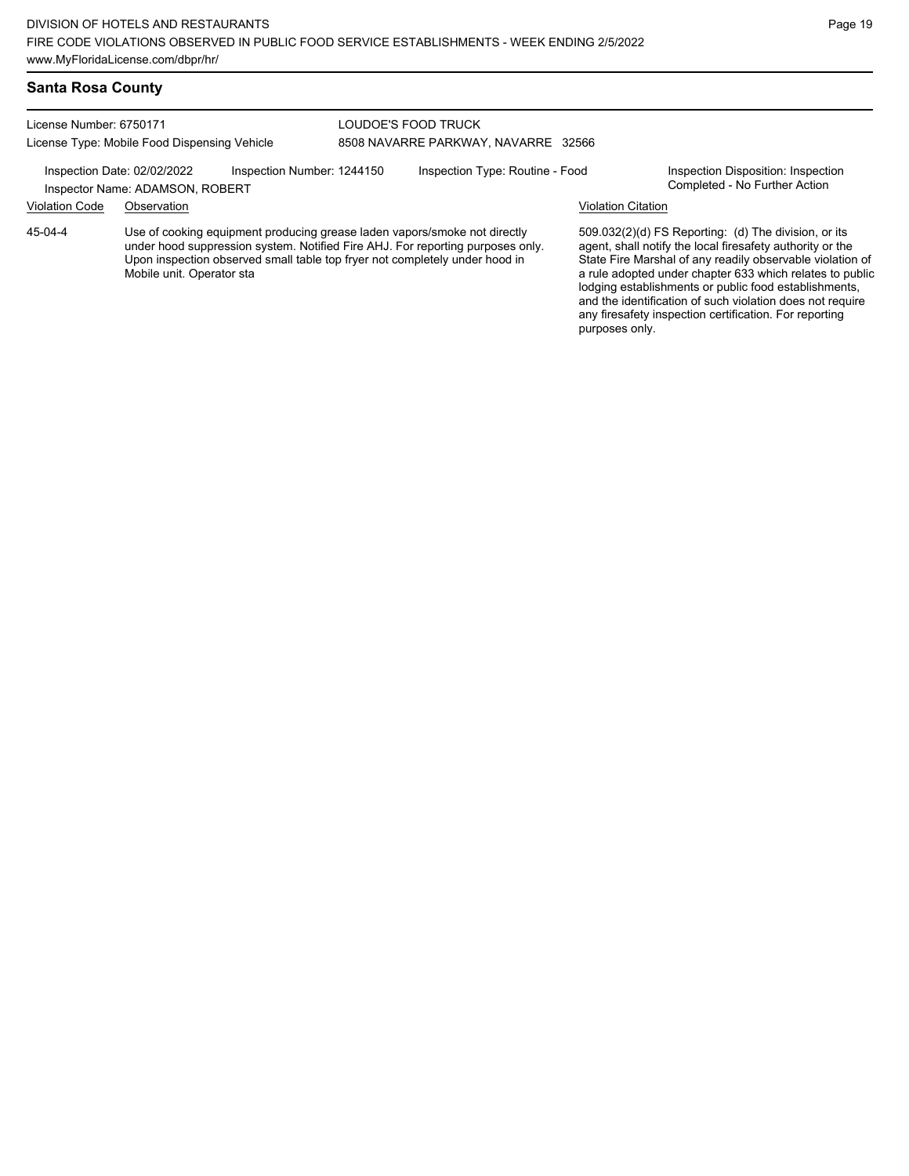#### **Santa Rosa County**

License Number: 6750171 License Type: Mobile Food Dispensing Vehicle LOUDOE'S FOOD TRUCK 8508 NAVARRE PARKWAY, NAVARRE 32566

Inspection Date: 02/02/2022 Inspection Number: 1244150 Inspection Type: Routine - Food Inspection Disposition: Inspection<br>Inspector Name: ADAMSON, ROBERT

# Inspector Name: ADAMSON, ROBERT

Violation Code Observation Violation Citation

45-04-4

Use of cooking equipment producing grease laden vapors/smoke not directly under hood suppression system. Notified Fire AHJ. For reporting purposes only. Upon inspection observed small table top fryer not completely under hood in Mobile unit. Operator sta

509.032(2)(d) FS Reporting: (d) The division, or its agent, shall notify the local firesafety authority or the State Fire Marshal of any readily observable violation of a rule adopted under chapter 633 which relates to public lodging establishments or public food establishments, and the identification of such violation does not require any firesafety inspection certification. For reporting purposes only.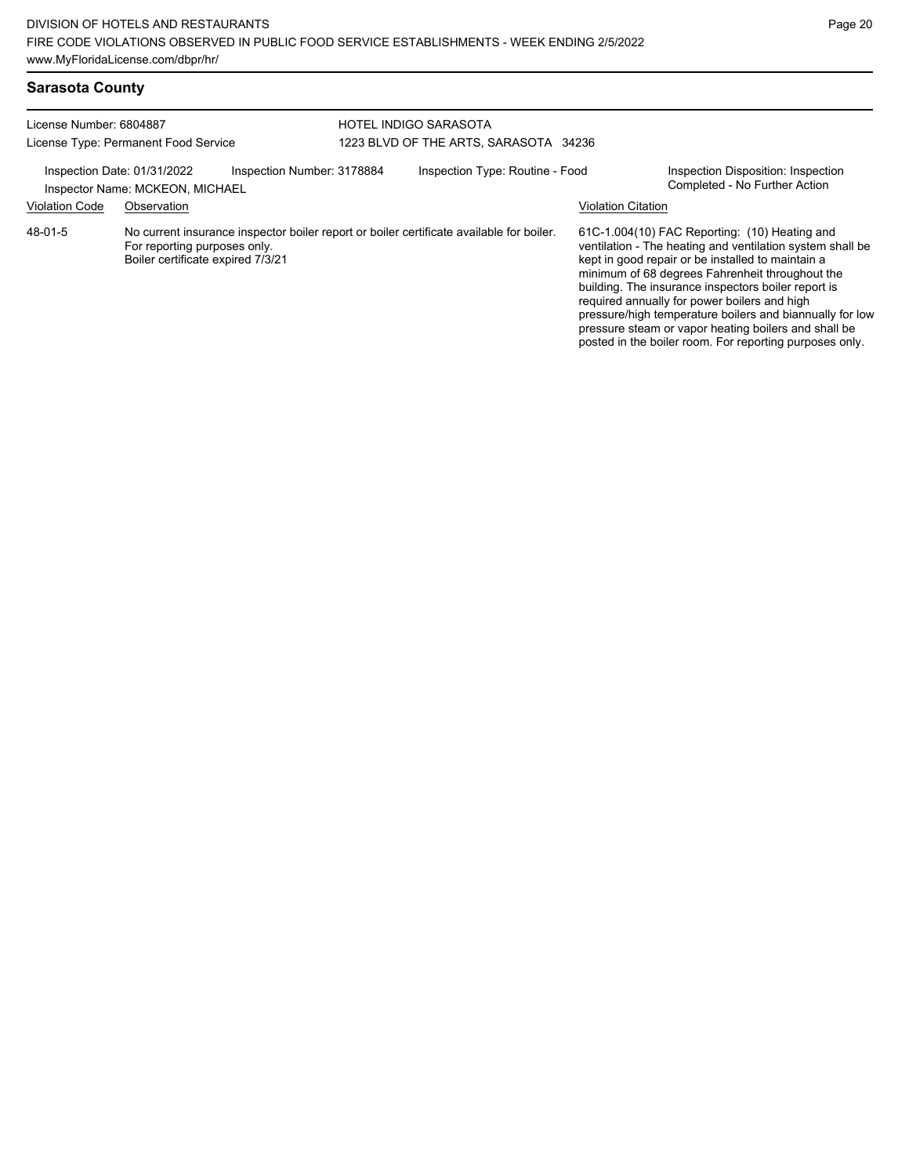posted in the boiler room. For reporting purposes only.

| <b>Sarasota County</b>  |                                                                   |                            |                                       |                                                                                          |                           |                                                                                                                                                                                                                                                                                                                                                                                                                                               |
|-------------------------|-------------------------------------------------------------------|----------------------------|---------------------------------------|------------------------------------------------------------------------------------------|---------------------------|-----------------------------------------------------------------------------------------------------------------------------------------------------------------------------------------------------------------------------------------------------------------------------------------------------------------------------------------------------------------------------------------------------------------------------------------------|
| License Number: 6804887 |                                                                   | HOTEL INDIGO SARASOTA      |                                       |                                                                                          |                           |                                                                                                                                                                                                                                                                                                                                                                                                                                               |
|                         | License Type: Permanent Food Service                              |                            | 1223 BLVD OF THE ARTS, SARASOTA 34236 |                                                                                          |                           |                                                                                                                                                                                                                                                                                                                                                                                                                                               |
|                         | Inspection Date: 01/31/2022<br>Inspector Name: MCKEON, MICHAEL    | Inspection Number: 3178884 |                                       | Inspection Type: Routine - Food                                                          |                           | Inspection Disposition: Inspection<br>Completed - No Further Action                                                                                                                                                                                                                                                                                                                                                                           |
| <b>Violation Code</b>   | Observation                                                       |                            |                                       |                                                                                          | <b>Violation Citation</b> |                                                                                                                                                                                                                                                                                                                                                                                                                                               |
| 48-01-5                 | For reporting purposes only.<br>Boiler certificate expired 7/3/21 |                            |                                       | No current insurance inspector boiler report or boiler certificate available for boiler. |                           | 61C-1.004(10) FAC Reporting: (10) Heating and<br>ventilation - The heating and ventilation system shall be<br>kept in good repair or be installed to maintain a<br>minimum of 68 degrees Fahrenheit throughout the<br>building. The insurance inspectors boiler report is<br>required annually for power boilers and high<br>pressure/high temperature boilers and biannually for low<br>pressure steam or vapor heating boilers and shall be |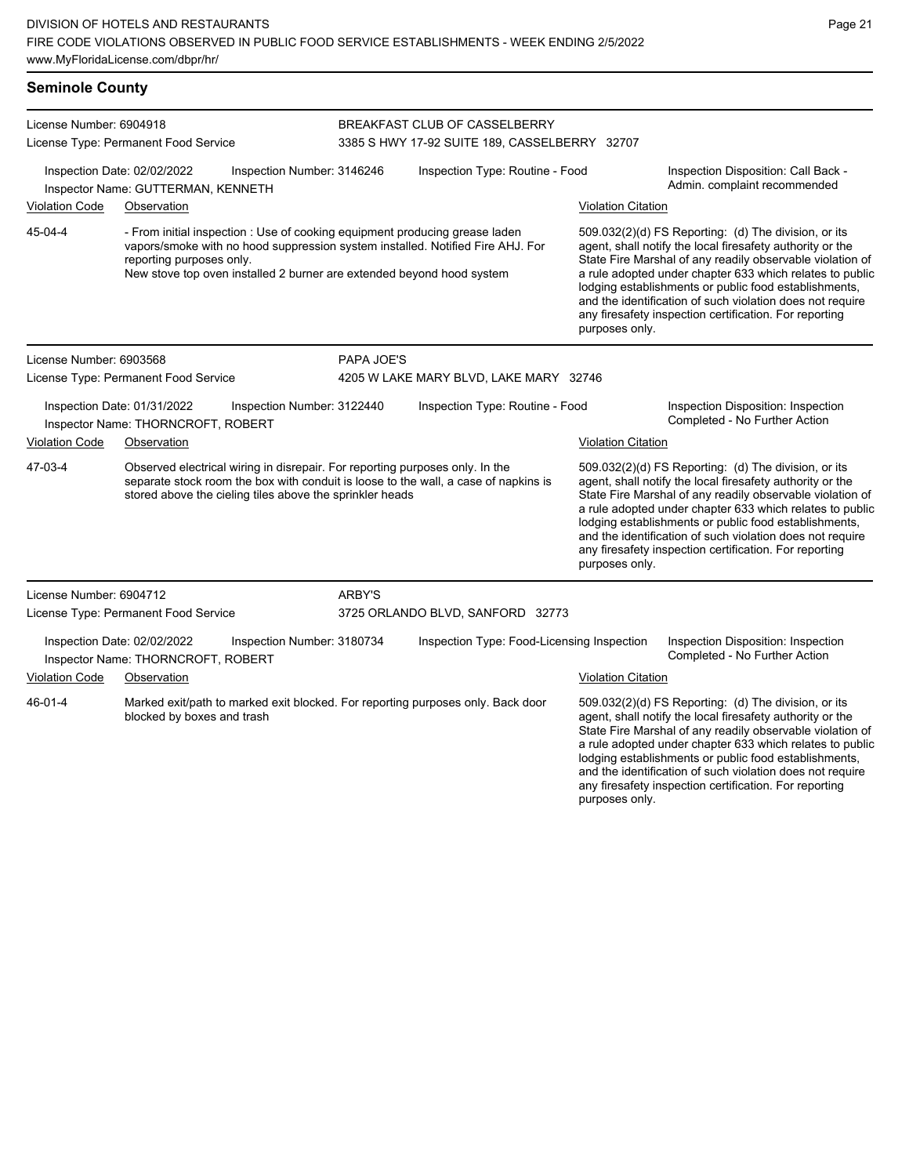| <b>Seminole County</b>  |                                                                                                                                          |                                                                       |                                                                                     |                                                                                                                                                               |                                                                                                                                                                                                                                                                                                                                                                                                                                              |                                                                                                                                                                                                                                                                                                                                                                  |  |
|-------------------------|------------------------------------------------------------------------------------------------------------------------------------------|-----------------------------------------------------------------------|-------------------------------------------------------------------------------------|---------------------------------------------------------------------------------------------------------------------------------------------------------------|----------------------------------------------------------------------------------------------------------------------------------------------------------------------------------------------------------------------------------------------------------------------------------------------------------------------------------------------------------------------------------------------------------------------------------------------|------------------------------------------------------------------------------------------------------------------------------------------------------------------------------------------------------------------------------------------------------------------------------------------------------------------------------------------------------------------|--|
| License Number: 6904918 | License Type: Permanent Food Service                                                                                                     |                                                                       |                                                                                     | BREAKFAST CLUB OF CASSELBERRY<br>3385 S HWY 17-92 SUITE 189, CASSELBERRY 32707                                                                                |                                                                                                                                                                                                                                                                                                                                                                                                                                              |                                                                                                                                                                                                                                                                                                                                                                  |  |
|                         | Inspection Date: 02/02/2022<br>Inspector Name: GUTTERMAN, KENNETH                                                                        | Inspection Number: 3146246                                            | Inspection Type: Routine - Food                                                     |                                                                                                                                                               |                                                                                                                                                                                                                                                                                                                                                                                                                                              | Inspection Disposition: Call Back -<br>Admin. complaint recommended                                                                                                                                                                                                                                                                                              |  |
| <b>Violation Code</b>   | Observation                                                                                                                              |                                                                       |                                                                                     |                                                                                                                                                               | <b>Violation Citation</b>                                                                                                                                                                                                                                                                                                                                                                                                                    |                                                                                                                                                                                                                                                                                                                                                                  |  |
| 45-04-4                 | reporting purposes only.                                                                                                                 | New stove top oven installed 2 burner are extended beyond hood system |                                                                                     | - From initial inspection : Use of cooking equipment producing grease laden<br>vapors/smoke with no hood suppression system installed. Notified Fire AHJ. For | 509.032(2)(d) FS Reporting: (d) The division, or its<br>agent, shall notify the local firesafety authority or the<br>State Fire Marshal of any readily observable violation of<br>a rule adopted under chapter 633 which relates to public<br>lodging establishments or public food establishments,<br>and the identification of such violation does not require<br>any firesafety inspection certification. For reporting<br>purposes only. |                                                                                                                                                                                                                                                                                                                                                                  |  |
| License Number: 6903568 |                                                                                                                                          |                                                                       | PAPA JOE'S                                                                          |                                                                                                                                                               |                                                                                                                                                                                                                                                                                                                                                                                                                                              |                                                                                                                                                                                                                                                                                                                                                                  |  |
|                         | License Type: Permanent Food Service                                                                                                     |                                                                       |                                                                                     | 4205 W LAKE MARY BLVD, LAKE MARY 32746                                                                                                                        |                                                                                                                                                                                                                                                                                                                                                                                                                                              |                                                                                                                                                                                                                                                                                                                                                                  |  |
|                         | Inspection Date: 01/31/2022<br>Inspector Name: THORNCROFT, ROBERT                                                                        | Inspection Number: 3122440                                            |                                                                                     | Inspection Type: Routine - Food                                                                                                                               |                                                                                                                                                                                                                                                                                                                                                                                                                                              | Inspection Disposition: Inspection<br>Completed - No Further Action                                                                                                                                                                                                                                                                                              |  |
| <b>Violation Code</b>   | Observation                                                                                                                              |                                                                       |                                                                                     |                                                                                                                                                               | <b>Violation Citation</b>                                                                                                                                                                                                                                                                                                                                                                                                                    |                                                                                                                                                                                                                                                                                                                                                                  |  |
| 47-03-4                 | Observed electrical wiring in disrepair. For reporting purposes only. In the<br>stored above the cieling tiles above the sprinkler heads |                                                                       | separate stock room the box with conduit is loose to the wall, a case of napkins is |                                                                                                                                                               | 509.032(2)(d) FS Reporting: (d) The division, or its<br>agent, shall notify the local firesafety authority or the<br>State Fire Marshal of any readily observable violation of<br>a rule adopted under chapter 633 which relates to public<br>lodging establishments or public food establishments,<br>and the identification of such violation does not require<br>any firesafety inspection certification. For reporting<br>purposes only. |                                                                                                                                                                                                                                                                                                                                                                  |  |
| License Number: 6904712 |                                                                                                                                          |                                                                       | <b>ARBY'S</b>                                                                       |                                                                                                                                                               |                                                                                                                                                                                                                                                                                                                                                                                                                                              |                                                                                                                                                                                                                                                                                                                                                                  |  |
|                         | License Type: Permanent Food Service                                                                                                     |                                                                       | 3725 ORLANDO BLVD, SANFORD 32773                                                    |                                                                                                                                                               |                                                                                                                                                                                                                                                                                                                                                                                                                                              |                                                                                                                                                                                                                                                                                                                                                                  |  |
|                         | Inspection Date: 02/02/2022<br>Inspector Name: THORNCROFT, ROBERT                                                                        | Inspection Number: 3180734                                            |                                                                                     | Inspection Type: Food-Licensing Inspection                                                                                                                    |                                                                                                                                                                                                                                                                                                                                                                                                                                              | Inspection Disposition: Inspection<br>Completed - No Further Action                                                                                                                                                                                                                                                                                              |  |
| <b>Violation Code</b>   | Observation                                                                                                                              |                                                                       |                                                                                     |                                                                                                                                                               | <b>Violation Citation</b>                                                                                                                                                                                                                                                                                                                                                                                                                    |                                                                                                                                                                                                                                                                                                                                                                  |  |
| 46-01-4                 | blocked by boxes and trash                                                                                                               |                                                                       |                                                                                     | Marked exit/path to marked exit blocked. For reporting purposes only. Back door                                                                               |                                                                                                                                                                                                                                                                                                                                                                                                                                              | 509.032(2)(d) FS Reporting: (d) The division, or its<br>agent, shall notify the local firesafety authority or the<br>State Fire Marshal of any readily observable violation of<br>a rule adopted under chapter 633 which relates to public<br>lodging establishments or public food establishments,<br>and the identification of such violation does not require |  |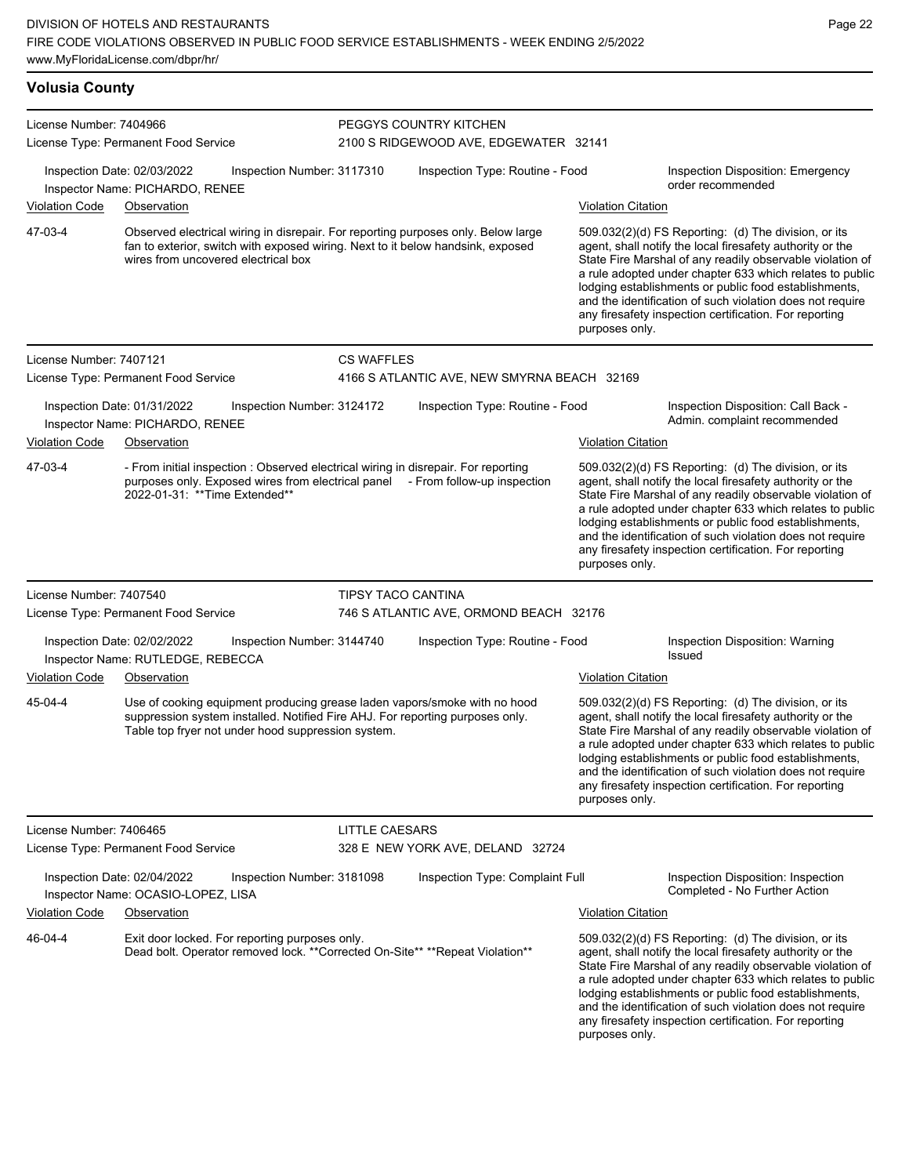| <b>Volusia County</b>   |                                                                                                                                                                                                                  |                            |                                                                 |                           |                                                                                                                                                                                                                                                                                                                                                                                                                            |
|-------------------------|------------------------------------------------------------------------------------------------------------------------------------------------------------------------------------------------------------------|----------------------------|-----------------------------------------------------------------|---------------------------|----------------------------------------------------------------------------------------------------------------------------------------------------------------------------------------------------------------------------------------------------------------------------------------------------------------------------------------------------------------------------------------------------------------------------|
| License Number: 7404966 | License Type: Permanent Food Service                                                                                                                                                                             |                            | PEGGYS COUNTRY KITCHEN<br>2100 S RIDGEWOOD AVE, EDGEWATER 32141 |                           |                                                                                                                                                                                                                                                                                                                                                                                                                            |
| <b>Violation Code</b>   | Inspection Date: 02/03/2022<br>Inspector Name: PICHARDO, RENEE<br>Observation                                                                                                                                    | Inspection Number: 3117310 | Inspection Type: Routine - Food                                 | <b>Violation Citation</b> | <b>Inspection Disposition: Emergency</b><br>order recommended                                                                                                                                                                                                                                                                                                                                                              |
| 47-03-4                 | Observed electrical wiring in disrepair. For reporting purposes only. Below large<br>fan to exterior, switch with exposed wiring. Next to it below handsink, exposed<br>wires from uncovered electrical box      |                            |                                                                 | purposes only.            | 509.032(2)(d) FS Reporting: (d) The division, or its<br>agent, shall notify the local firesafety authority or the<br>State Fire Marshal of any readily observable violation of<br>a rule adopted under chapter 633 which relates to public<br>lodging establishments or public food establishments,<br>and the identification of such violation does not require<br>any firesafety inspection certification. For reporting |
| License Number: 7407121 |                                                                                                                                                                                                                  | <b>CS WAFFLES</b>          |                                                                 |                           |                                                                                                                                                                                                                                                                                                                                                                                                                            |
|                         | License Type: Permanent Food Service                                                                                                                                                                             |                            | 4166 S ATLANTIC AVE, NEW SMYRNA BEACH 32169                     |                           |                                                                                                                                                                                                                                                                                                                                                                                                                            |
| <b>Violation Code</b>   | Inspection Date: 01/31/2022<br>Inspector Name: PICHARDO, RENEE<br>Observation                                                                                                                                    | Inspection Number: 3124172 | Inspection Type: Routine - Food                                 | <b>Violation Citation</b> | Inspection Disposition: Call Back -<br>Admin. complaint recommended                                                                                                                                                                                                                                                                                                                                                        |
| 47-03-4                 | - From initial inspection : Observed electrical wiring in disrepair. For reporting<br>purposes only. Exposed wires from electrical panel - From follow-up inspection<br>2022-01-31: ** Time Extended**           |                            |                                                                 | purposes only.            | 509.032(2)(d) FS Reporting: (d) The division, or its<br>agent, shall notify the local firesafety authority or the<br>State Fire Marshal of any readily observable violation of<br>a rule adopted under chapter 633 which relates to public<br>lodging establishments or public food establishments,<br>and the identification of such violation does not require<br>any firesafety inspection certification. For reporting |
| License Number: 7407540 |                                                                                                                                                                                                                  | <b>TIPSY TACO CANTINA</b>  |                                                                 |                           |                                                                                                                                                                                                                                                                                                                                                                                                                            |
|                         | License Type: Permanent Food Service                                                                                                                                                                             |                            | 746 S ATLANTIC AVE, ORMOND BEACH 32176                          |                           |                                                                                                                                                                                                                                                                                                                                                                                                                            |
|                         | Inspection Date: 02/02/2022<br>Inspector Name: RUTLEDGE, REBECCA                                                                                                                                                 | Inspection Number: 3144740 | Inspection Type: Routine - Food                                 |                           | Inspection Disposition: Warning<br>Issued                                                                                                                                                                                                                                                                                                                                                                                  |
| <b>Violation Code</b>   | Observation                                                                                                                                                                                                      |                            |                                                                 | <b>Violation Citation</b> |                                                                                                                                                                                                                                                                                                                                                                                                                            |
| 45-04-4                 | Use of cooking equipment producing grease laden vapors/smoke with no hood<br>suppression system installed. Notified Fire AHJ. For reporting purposes only.<br>Table top fryer not under hood suppression system. |                            |                                                                 | purposes only.            | 509.032(2)(d) FS Reporting: (d) The division, or its<br>agent, shall notify the local firesafety authority or the<br>State Fire Marshal of any readily observable violation of<br>a rule adopted under chapter 633 which relates to public<br>lodging establishments or public food establishments,<br>and the identification of such violation does not require<br>any firesafety inspection certification. For reporting |
| License Number: 7406465 |                                                                                                                                                                                                                  | <b>LITTLE CAESARS</b>      |                                                                 |                           |                                                                                                                                                                                                                                                                                                                                                                                                                            |
|                         | License Type: Permanent Food Service                                                                                                                                                                             |                            | 328 E NEW YORK AVE, DELAND 32724                                |                           |                                                                                                                                                                                                                                                                                                                                                                                                                            |
|                         | Inspection Date: 02/04/2022<br>Inspector Name: OCASIO-LOPEZ, LISA                                                                                                                                                | Inspection Number: 3181098 | Inspection Type: Complaint Full                                 |                           | Inspection Disposition: Inspection<br>Completed - No Further Action                                                                                                                                                                                                                                                                                                                                                        |
| <b>Violation Code</b>   | Observation                                                                                                                                                                                                      |                            |                                                                 | <b>Violation Citation</b> |                                                                                                                                                                                                                                                                                                                                                                                                                            |
| 46-04-4                 | Exit door locked. For reporting purposes only.<br>Dead bolt. Operator removed lock. ** Corrected On-Site** ** Repeat Violation**                                                                                 |                            |                                                                 | purposes only.            | 509.032(2)(d) FS Reporting: (d) The division, or its<br>agent, shall notify the local firesafety authority or the<br>State Fire Marshal of any readily observable violation of<br>a rule adopted under chapter 633 which relates to public<br>lodging establishments or public food establishments,<br>and the identification of such violation does not require<br>any firesafety inspection certification. For reporting |